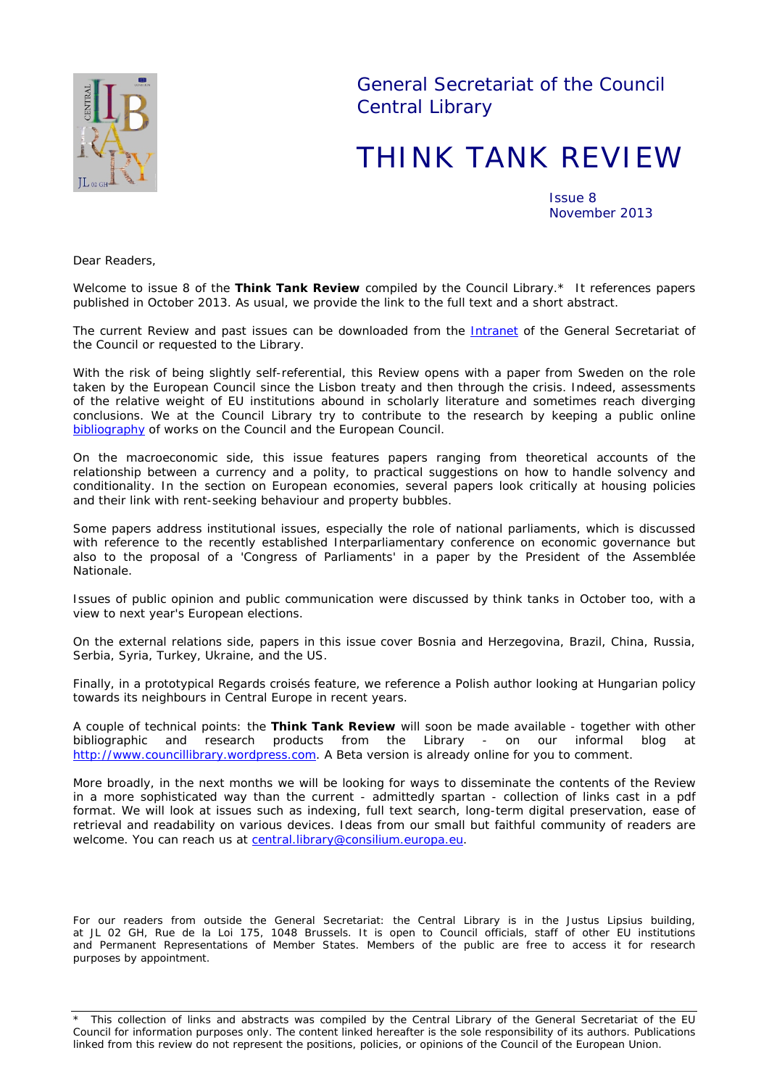

General Secretariat of the Council Central Library

# THINK TANK REVIEW

Issue 8 November 2013

*Dear Readers,*

*Welcome to issue 8 of the Think Tank Review compiled by the Council Library.\* It references papers published in October 2013. As usual, we provide the link to the full text and a short abstract.*

The current Review and past issues can be downloaded from the **[Intranet](http://domus/biblio/divers/thinktank.html)** of the General Secretariat of *the Council or requested to the Library.*

With the risk of being slightly self-referential, this Review opens with a paper from Sweden on the role *taken by the European Council since the Lisbon treaty and then through the crisis. Indeed, assessments of the relative weight of EU institutions abound in scholarly literature and sometimes reach diverging conclusions. We at the Council Library try to contribute to the research by keeping a public online [bibliography](http://ec.europa.eu/eclas/F/?func=find-a-0&local_base=BIB) of works on the Council and the European Council.* 

*On the macroeconomic side, this issue features papers ranging from theoretical accounts of the relationship between a currency and a polity, to practical suggestions on how to handle solvency and conditionality. In the section on European economies, several papers look critically at housing policies and their link with rent-seeking behaviour and property bubbles.*

*Some papers address institutional issues, especially the role of national parliaments, which is discussed with reference to the recently established Interparliamentary conference on economic governance but also to the proposal of a 'Congress of Parliaments' in a paper by the President of the* Assemblée Nationale*.*

*Issues of public opinion and public communication were discussed by think tanks in October too, with a view to next year's European elections.*

*On the external relations side, papers in this issue cover Bosnia and Herzegovina, Brazil, China, Russia, Serbia, Syria, Turkey, Ukraine, and the US.*

*Finally, in a prototypical* Regards croisés *feature, we reference a Polish author looking at Hungarian policy towards its neighbours in Central Europe in recent years.*

*A couple of technical points: the Think Tank Review will soon be made available - together with other bibliographic and research products from the Library - on our informal blog at [http://www.councillibrary.wordpress.com.](http://www.councillibrary.wordpress.com/) A Beta version is already online for you to comment.* 

*More broadly, in the next months we will be looking for ways to disseminate the contents of the Review in a more sophisticated way than the current - admittedly spartan - collection of links cast in a pdf format. We will look at issues such as indexing, full text search, long-term digital preservation, ease of retrieval and readability on various devices. Ideas from our small but faithful community of readers are welcome. You can reach us at* [central.library@consilium.europa.eu.](mailto:central.library@consilium.europa.eu?subject=Think%20Tank%20Review)

*For our readers from outside the General Secretariat: the Central Library is in the Justus Lipsius building, at JL 02 GH, Rue de la Loi 175, 1048 Brussels. It is open to Council officials, staff of other EU institutions and Permanent Representations of Member States. Members of the public are free to access it for research purposes by appointment.*

<sup>\*</sup> This collection of links and abstracts was compiled by the Central Library of the General Secretariat of the EU Council for information purposes only. The content linked hereafter is the sole responsibility of its authors. Publications linked from this review do not represent the positions, policies, or opinions of the Council of the European Union.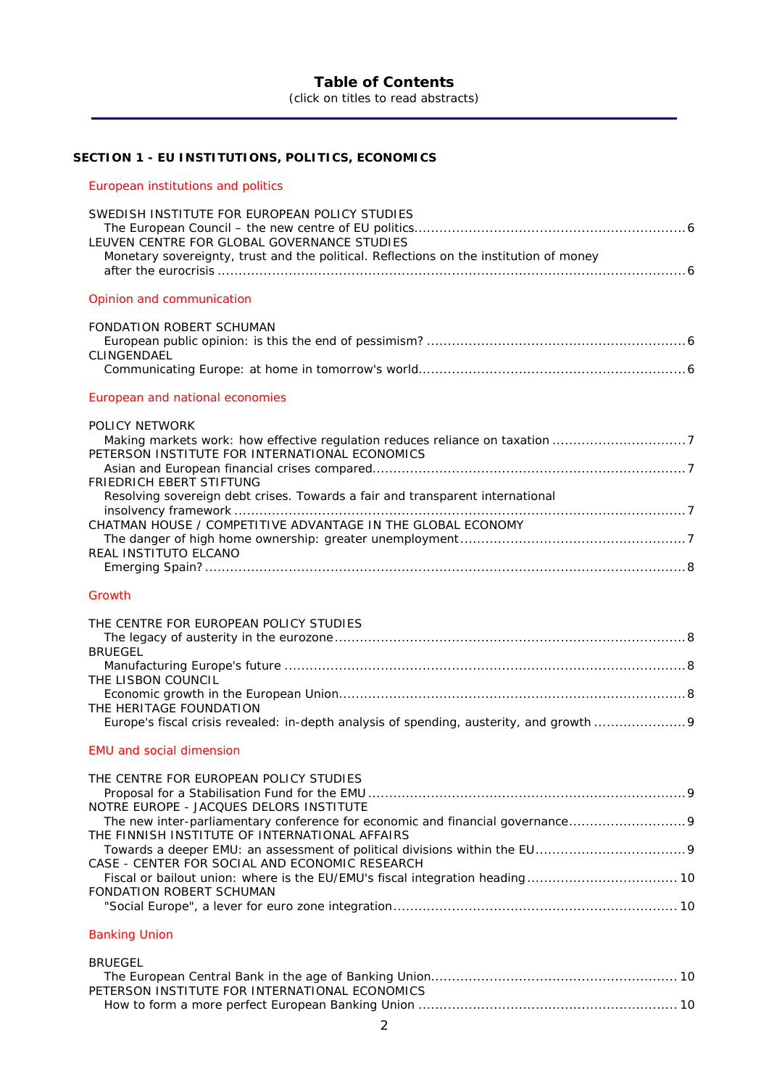# **Table of Contents**

(click on titles to read abstracts)

# **SECTION 1 - [EU INSTITUTIONS, POLITICS, ECONOMICS](#page-5-0)**

# [European institutions and politics](#page-5-1)

| SWEDISH INSTITUTE FOR EUROPEAN POLICY STUDIES<br>LEUVEN CENTRE FOR GLOBAL GOVERNANCE STUDIES<br>Monetary sovereignty, trust and the political. Reflections on the institution of money |
|----------------------------------------------------------------------------------------------------------------------------------------------------------------------------------------|
| Opinion and communication                                                                                                                                                              |
| <b>FONDATION ROBERT SCHUMAN</b>                                                                                                                                                        |
| CLINGENDAEL                                                                                                                                                                            |
|                                                                                                                                                                                        |
| European and national economies                                                                                                                                                        |
| <b>POLICY NETWORK</b>                                                                                                                                                                  |
| Making markets work: how effective regulation reduces reliance on taxation 7<br>PETERSON INSTITUTE FOR INTERNATIONAL ECONOMICS                                                         |
| FRIEDRICH EBERT STIFTUNG                                                                                                                                                               |
| Resolving sovereign debt crises. Towards a fair and transparent international                                                                                                          |
| CHATMAN HOUSE / COMPETITIVE ADVANTAGE IN THE GLOBAL ECONOMY                                                                                                                            |
| REAL INSTITUTO ELCANO                                                                                                                                                                  |
|                                                                                                                                                                                        |
| Growth                                                                                                                                                                                 |
| THE CENTRE FOR EUROPEAN POLICY STUDIES                                                                                                                                                 |
| <b>BRUEGEL</b>                                                                                                                                                                         |
|                                                                                                                                                                                        |
| THE LISBON COUNCIL                                                                                                                                                                     |
| THE HERITAGE FOUNDATION                                                                                                                                                                |
|                                                                                                                                                                                        |
| <b>EMU and social dimension</b>                                                                                                                                                        |
| THE CENTRE FOR EUROPEAN POLICY STUDIES                                                                                                                                                 |
| NOTRE EUROPE - JACQUES DELORS INSTITUTE                                                                                                                                                |
| The new inter-parliamentary conference for economic and financial governance                                                                                                           |
| THE FINNISH INSTITUTE OF INTERNATIONAL AFFAIRS                                                                                                                                         |
| CASE - CENTER FOR SOCIAL AND ECONOMIC RESEARCH                                                                                                                                         |
| <b>FONDATION ROBERT SCHUMAN</b>                                                                                                                                                        |
|                                                                                                                                                                                        |
| <b>Banking Union</b>                                                                                                                                                                   |

| <b>BRUEGEL</b>                                 |  |
|------------------------------------------------|--|
|                                                |  |
| PETERSON INSTITUTE FOR INTERNATIONAL ECONOMICS |  |
|                                                |  |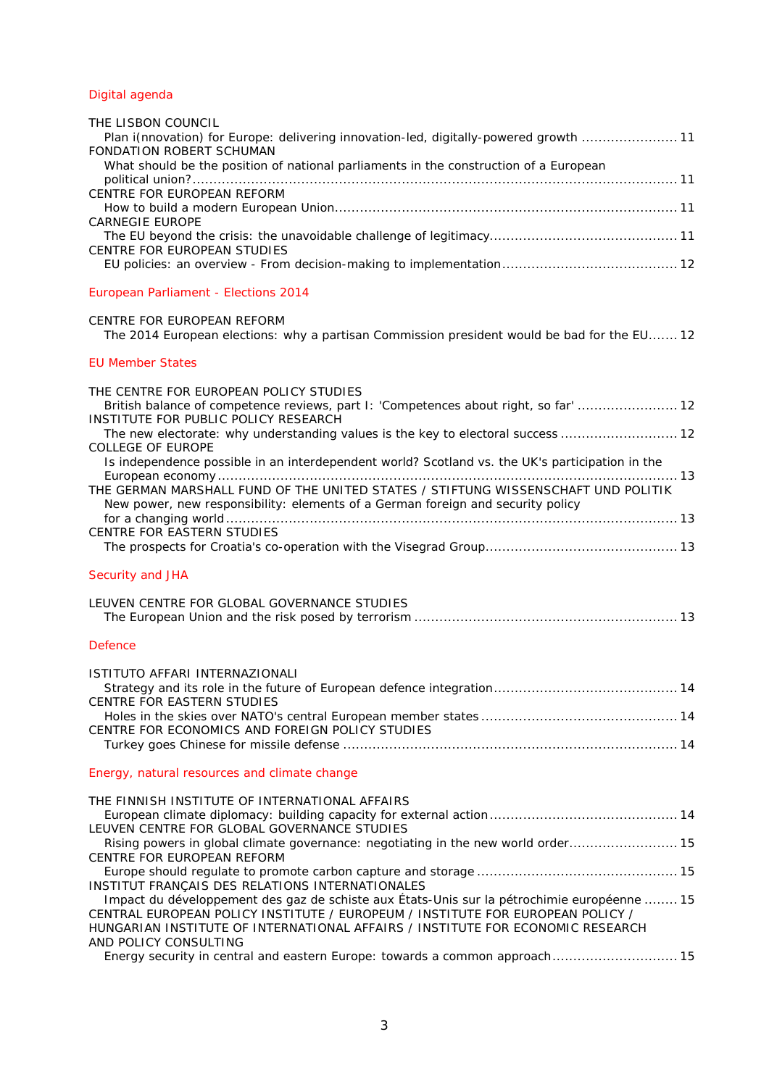# [Digital agenda](#page-9-9)

| THE LISBON COUNCIL                                                                    |
|---------------------------------------------------------------------------------------|
| Plan i(nnovation) for Europe: delivering innovation-led, digitally-powered growth  11 |
| FONDATION ROBERT SCHUMAN                                                              |
| What should be the position of national parliaments in the construction of a European |
|                                                                                       |
| CENTRE FOR EUROPEAN REFORM                                                            |
|                                                                                       |
| <b>CARNEGIE EUROPE</b>                                                                |
|                                                                                       |
| CENTRE FOR EUROPEAN STUDIES                                                           |
|                                                                                       |
| European Parliament - Elections 2014                                                  |
|                                                                                       |

# [The 2014 European elections: why a partisan Commission president would be bad for the EU.......](#page-11-3) 12 [EU Member States](#page-11-4)

[CENTRE FOR EUROPEAN REFORM](#page-11-2)

| THE CENTRE FOR EUROPEAN POLICY STUDIES<br>British balance of competence reviews, part I: 'Competences about right, so far'  12<br>INSTITUTE FOR PUBLIC POLICY RESEARCH |  |
|------------------------------------------------------------------------------------------------------------------------------------------------------------------------|--|
| The new electorate: why understanding values is the key to electoral success  12<br>COLLEGE OF EUROPE                                                                  |  |
| Is independence possible in an interdependent world? Scotland vs. the UK's participation in the                                                                        |  |
|                                                                                                                                                                        |  |
| THE GERMAN MARSHALL FUND OF THE UNITED STATES / STIFTUNG WISSENSCHAFT UND POLITIK<br>New power, new responsibility: elements of a German foreign and security policy   |  |
| CENTRE FOR EASTERN STUDIES                                                                                                                                             |  |
|                                                                                                                                                                        |  |
| Security and JHA                                                                                                                                                       |  |
| LEUVEN CENTRE FOR GLOBAL GOVERNANCE STUDIES                                                                                                                            |  |
| <b>Defence</b>                                                                                                                                                         |  |

| ISTITUTO AFFARI INTERNAZIONALI                  |  |
|-------------------------------------------------|--|
|                                                 |  |
| CENTRE FOR EASTERN STUDIES                      |  |
|                                                 |  |
| CENTRE FOR ECONOMICS AND FOREIGN POLICY STUDIES |  |
|                                                 |  |

#### [Energy, natural resources and climate change](#page-13-7)

| THE FINNISH INSTITUTE OF INTERNATIONAL AFFAIRS                                              |
|---------------------------------------------------------------------------------------------|
|                                                                                             |
| LEUVEN CENTRE FOR GLOBAL GOVERNANCE STUDIES                                                 |
| Rising powers in global climate governance: negotiating in the new world order 15           |
| CENTRE FOR EUROPEAN REFORM                                                                  |
|                                                                                             |
| INSTITUT FRANÇAIS DES RELATIONS INTERNATIONALES                                             |
| Impact du développement des gaz de schiste aux États-Unis sur la pétrochimie européenne  15 |
| CENTRAL EUROPEAN POLICY INSTITUTE / EUROPEUM / INSTITUTE FOR EUROPEAN POLICY /              |
| HUNGARIAN INSTITUTE OF INTERNATIONAL AFFAIRS / INSTITUTE FOR ECONOMIC RESEARCH              |
| AND POLICY CONSULTING                                                                       |
| Energy security in central and eastern Europe: towards a common approach 15                 |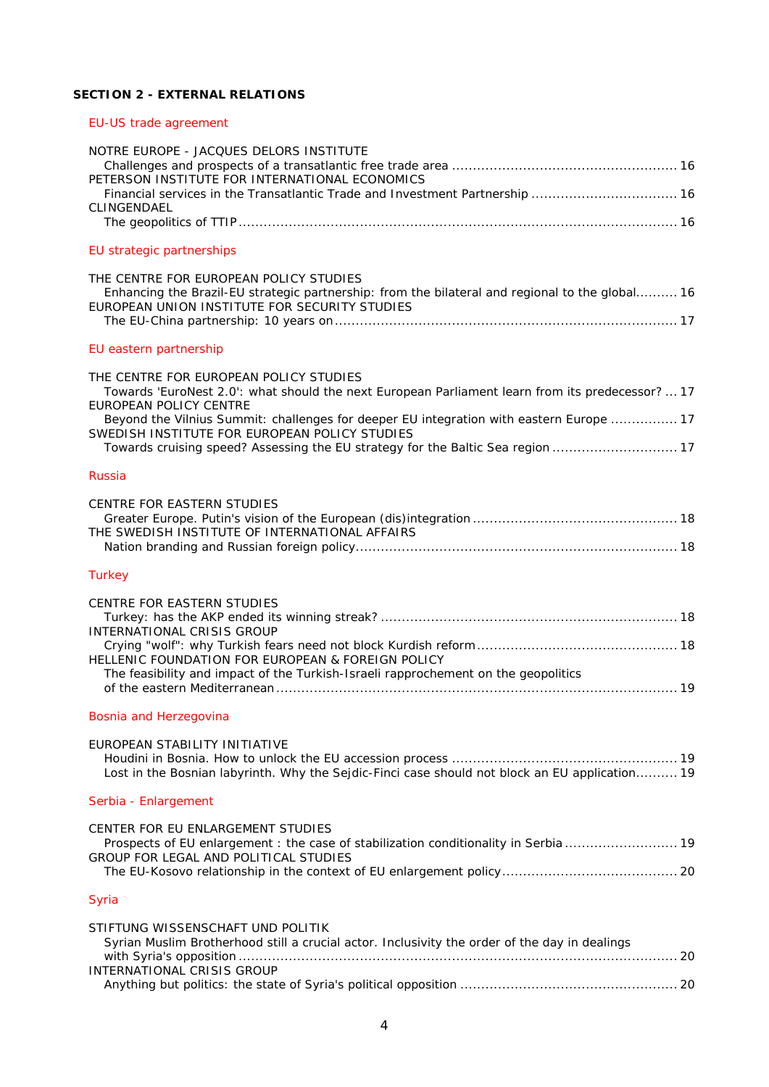# **SECTION 2 - [EXTERNAL RELATIONS](#page-15-0)**

# [EU-US trade agreement](#page-15-1)

| NOTRE EUROPE - JACQUES DELORS INSTITUTE<br>PETERSON INSTITUTE FOR INTERNATIONAL ECONOMICS                                                                                                                                                                                                                                                                                                                  |
|------------------------------------------------------------------------------------------------------------------------------------------------------------------------------------------------------------------------------------------------------------------------------------------------------------------------------------------------------------------------------------------------------------|
| Financial services in the Transatlantic Trade and Investment Partnership  16<br>CLINGENDAEL                                                                                                                                                                                                                                                                                                                |
|                                                                                                                                                                                                                                                                                                                                                                                                            |
| EU strategic partnerships                                                                                                                                                                                                                                                                                                                                                                                  |
| THE CENTRE FOR EUROPEAN POLICY STUDIES<br>Enhancing the Brazil-EU strategic partnership: from the bilateral and regional to the global 16<br>EUROPEAN UNION INSTITUTE FOR SECURITY STUDIES                                                                                                                                                                                                                 |
| EU eastern partnership                                                                                                                                                                                                                                                                                                                                                                                     |
| THE CENTRE FOR EUROPEAN POLICY STUDIES<br>Towards 'EuroNest 2.0': what should the next European Parliament learn from its predecessor?  17<br><b>EUROPEAN POLICY CENTRE</b><br>Beyond the Vilnius Summit: challenges for deeper EU integration with eastern Europe  17<br>SWEDISH INSTITUTE FOR EUROPEAN POLICY STUDIES<br>Towards cruising speed? Assessing the EU strategy for the Baltic Sea region  17 |
| <b>Russia</b>                                                                                                                                                                                                                                                                                                                                                                                              |
| <b>CENTRE FOR EASTERN STUDIES</b><br>THE SWEDISH INSTITUTE OF INTERNATIONAL AFFAIRS                                                                                                                                                                                                                                                                                                                        |
| <b>Turkey</b>                                                                                                                                                                                                                                                                                                                                                                                              |
| <b>CENTRE FOR EASTERN STUDIES</b><br>INTERNATIONAL CRISIS GROUP<br>HELLENIC FOUNDATION FOR EUROPEAN & FOREIGN POLICY<br>The feasibility and impact of the Turkish-Israeli rapprochement on the geopolitics                                                                                                                                                                                                 |
| Bosnia and Herzegovina                                                                                                                                                                                                                                                                                                                                                                                     |
| EUROPEAN STABILITY INITIATIVE<br>Lost in the Bosnian labyrinth. Why the Sejdic-Finci case should not block an EU application 19                                                                                                                                                                                                                                                                            |
| Serbia - Enlargement                                                                                                                                                                                                                                                                                                                                                                                       |
| CENTER FOR EU ENLARGEMENT STUDIES<br>Prospects of EU enlargement : the case of stabilization conditionality in Serbia  19<br>GROUP FOR LEGAL AND POLITICAL STUDIES                                                                                                                                                                                                                                         |
| Syria                                                                                                                                                                                                                                                                                                                                                                                                      |
| STIFTUNG WISSENSCHAFT UND POLITIK<br>Syrian Muslim Brotherhood still a crucial actor. Inclusivity the order of the day in dealings<br>INTERNATIONAL CRISIS GROUP                                                                                                                                                                                                                                           |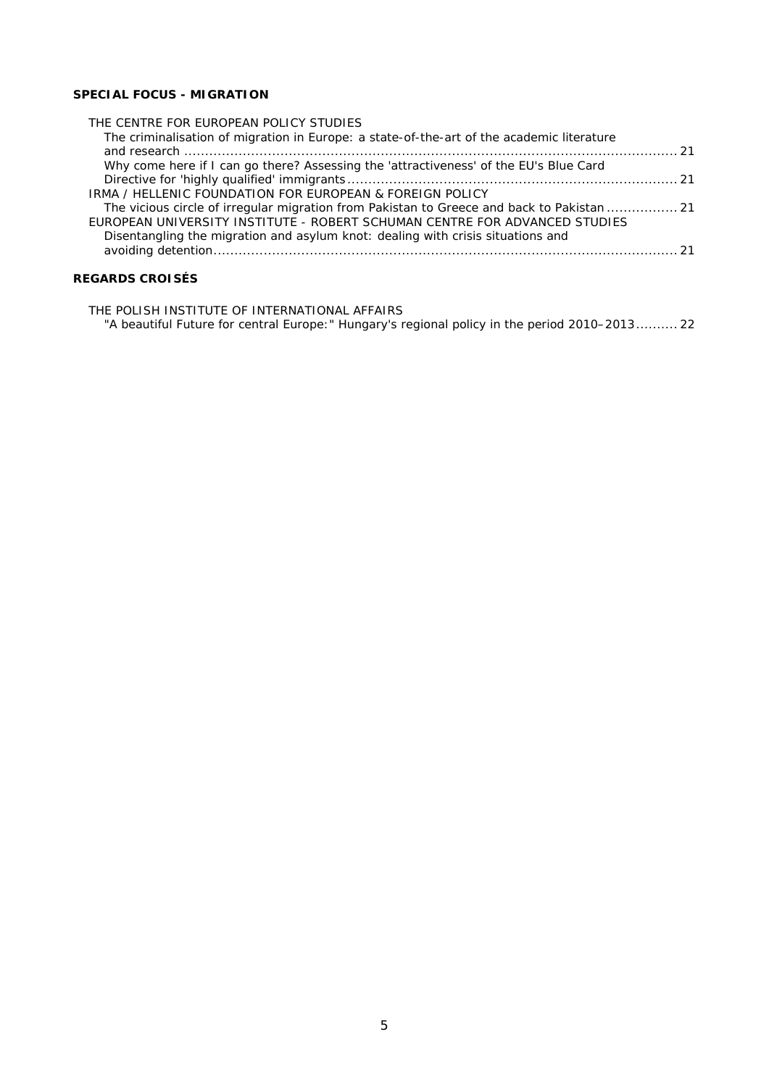# **[SPECIAL FOCUS -](#page-20-0) MIGRATION**

| THE CENTRE FOR EUROPEAN POLICY STUDIES                                                     |  |
|--------------------------------------------------------------------------------------------|--|
| The criminalisation of migration in Europe: a state-of-the-art of the academic literature  |  |
|                                                                                            |  |
| Why come here if I can go there? Assessing the 'attractiveness' of the EU's Blue Card      |  |
|                                                                                            |  |
| IRMA / HELLENIC FOUNDATION FOR EUROPEAN & FOREIGN POLICY                                   |  |
| The vicious circle of irregular migration from Pakistan to Greece and back to Pakistan  21 |  |
| EUROPEAN UNIVERSITY INSTITUTE - ROBERT SCHUMAN CENTRE FOR ADVANCED STUDIES                 |  |
| Disentangling the migration and asylum knot: dealing with crisis situations and            |  |
|                                                                                            |  |
|                                                                                            |  |

# **[REGARDS CROISÉS](#page-21-0)**

[THE POLISH INSTITUTE OF INTERNATIONAL AFFAIRS](#page-21-1) ["A beautiful Future for central Europe:" Hungary's regional policy in the period 2010–2013..........](#page-21-2) 22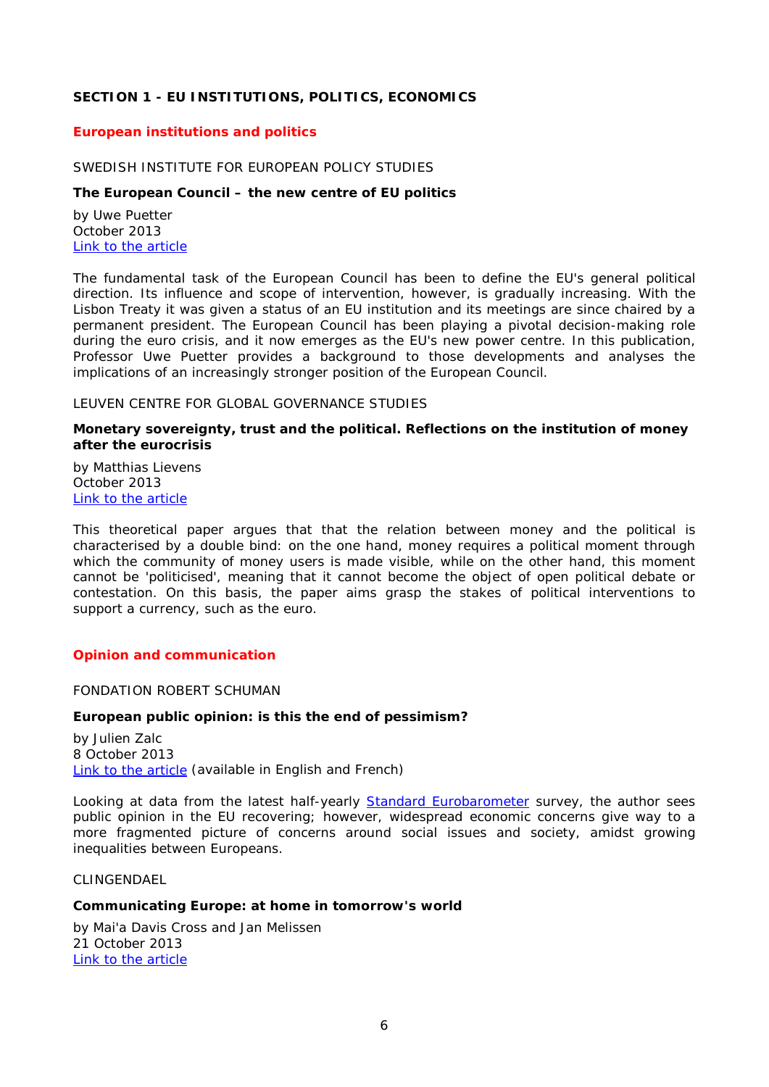# <span id="page-5-0"></span>**SECTION 1 - EU INSTITUTIONS, POLITICS, ECONOMICS**

## <span id="page-5-1"></span>*European institutions and politics*

#### <span id="page-5-2"></span>SWEDISH INSTITUTE FOR EUROPEAN POLICY STUDIES

# <span id="page-5-3"></span>**The European Council – the new centre of EU politics**

by Uwe Puetter October 2013 [Link to the article](http://www.sieps.se/sites/default/files/NY%202013_16epa_A4_0.pdf)

The fundamental task of the European Council has been to define the EU's general political direction. Its influence and scope of intervention, however, is gradually increasing. With the Lisbon Treaty it was given a status of an EU institution and its meetings are since chaired by a permanent president. The European Council has been playing a pivotal decision-making role during the euro crisis, and it now emerges as the EU's new power centre. In this publication, Professor Uwe Puetter provides a background to those developments and analyses the implications of an increasingly stronger position of the European Council.

#### <span id="page-5-4"></span>LEUVEN CENTRE FOR GLOBAL GOVERNANCE STUDIES

#### <span id="page-5-5"></span>**Monetary sovereignty, trust and the political. Reflections on the institution of money after the eurocrisis**

by Matthias Lievens October 2013 [Link to the article](http://ghum.kuleuven.be/ggs/publications/working_papers/new_series/wp121-130/wp123-lievens.pdf)

This theoretical paper argues that that the relation between money and the political is characterised by a double bind: on the one hand, money requires a political moment through which the community of money users is made visible, while on the other hand, this moment cannot be 'politicised', meaning that it cannot become the object of open political debate or contestation. On this basis, the paper aims grasp the stakes of political interventions to support a currency, such as the euro.

#### <span id="page-5-7"></span><span id="page-5-6"></span>*Opinion and communication*

FONDATION ROBERT SCHUMAN

#### <span id="page-5-8"></span>**European public opinion: is this the end of pessimism?**

by Julien Zalc 8 October 2013 [Link to the article](http://www.robert-schuman.eu/en/doc/questions-d-europe/qe-290-en.pdf) (available in English and French)

Looking at data from the latest half-yearly **Standard Eurobarometer** survey, the author sees public opinion in the EU recovering; however, widespread economic concerns give way to a more fragmented picture of concerns around social issues and society, amidst growing inequalities between Europeans.

#### <span id="page-5-9"></span>CLINGENDAEL

#### <span id="page-5-10"></span>**Communicating Europe: at home in tomorrow's world**

by Mai'a Davis Cross and Jan Melissen 21 October 2013 [Link to the article](http://www.clingendael.nl/sites/default/files/Communicating%20Europe%20-%20Clingendael%20Policy%20Brief.pdf)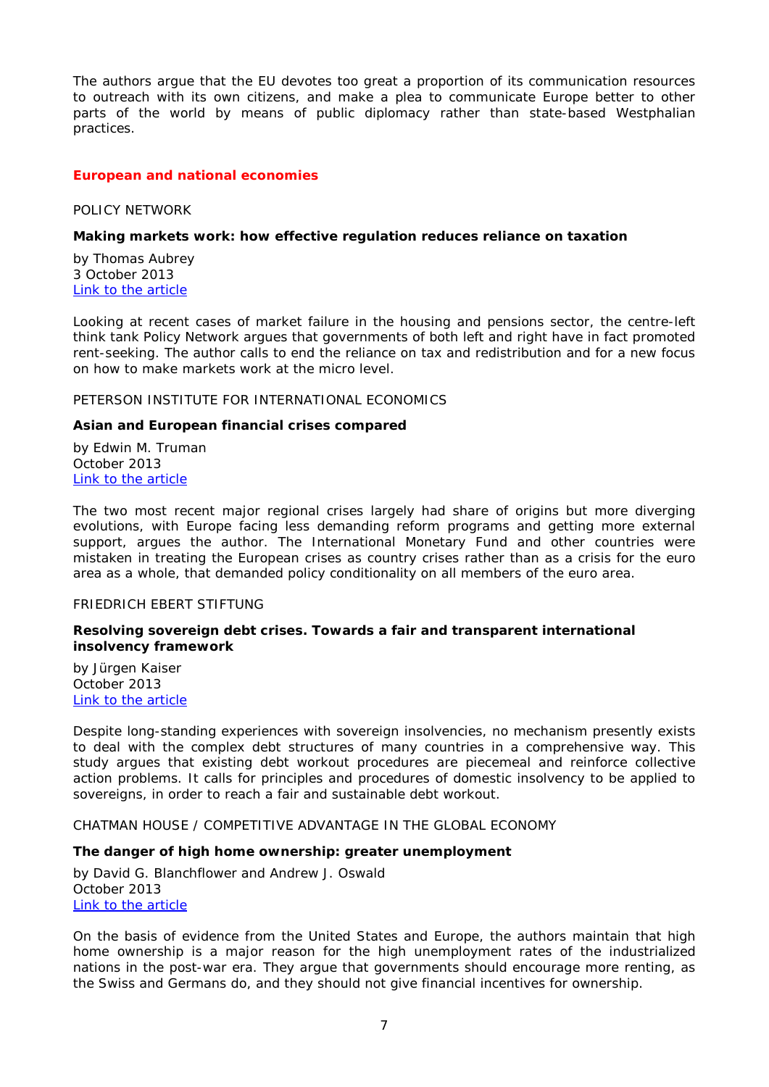The authors argue that the EU devotes too great a proportion of its communication resources to outreach with its own citizens, and make a plea to communicate Europe better to other parts of the world by means of public diplomacy rather than state-based Westphalian practices.

# <span id="page-6-0"></span>*European and national economies*

<span id="page-6-1"></span>POLICY NETWORK

#### <span id="page-6-2"></span>**Making markets work: how effective regulation reduces reliance on taxation**

by Thomas Aubrey 3 October 2013 [Link to the article](http://www.policy-network.net/publications/4479/Making-Markets-Work)

Looking at recent cases of market failure in the housing and pensions sector, the centre-left think tank Policy Network argues that governments of both left and right have in fact promoted rent-seeking. The author calls to end the reliance on tax and redistribution and for a new focus on how to make markets work at the micro level.

#### <span id="page-6-3"></span>PETERSON INSTITUTE FOR INTERNATIONAL ECONOMICS

#### <span id="page-6-4"></span>**Asian and European financial crises compared**

by Edwin M. Truman October 2013 [Link to the article](http://www.iie.com/publications/wp/wp13-9.pdf)

The two most recent major regional crises largely had share of origins but more diverging evolutions, with Europe facing less demanding reform programs and getting more external support, argues the author. The International Monetary Fund and other countries were mistaken in treating the European crises as country crises rather than as a crisis for the euro area as a whole, that demanded policy conditionality on all members of the euro area.

#### <span id="page-6-5"></span>FRIEDRICH EBERT STIFTUNG

#### <span id="page-6-6"></span>**Resolving sovereign debt crises. Towards a fair and transparent international insolvency framework**

by Jürgen Kaiser October 2013 [Link to the article](http://library.fes.de/pdf-files/iez/10263.pdf)

Despite long-standing experiences with sovereign insolvencies, no mechanism presently exists to deal with the complex debt structures of many countries in a comprehensive way. This study argues that existing debt workout procedures are piecemeal and reinforce collective action problems. It calls for principles and procedures of domestic insolvency to be applied to sovereigns, in order to reach a fair and sustainable debt workout.

<span id="page-6-7"></span>CHATMAN HOUSE / COMPETITIVE ADVANTAGE IN THE GLOBAL ECONOMY

#### <span id="page-6-8"></span>**The danger of high home ownership: greater unemployment**

by David G. Blanchflower and Andrew J. Oswald October 2013 [Link to the article](http://www.chathamhouse.org/sites/default/files/public/Research/International%20Economics/1013bp_homeownership.pdf)

On the basis of evidence from the United States and Europe, the authors maintain that high home ownership is a major reason for the high unemployment rates of the industrialized nations in the post-war era. They argue that governments should encourage more renting, as the Swiss and Germans do, and they should not give financial incentives for ownership.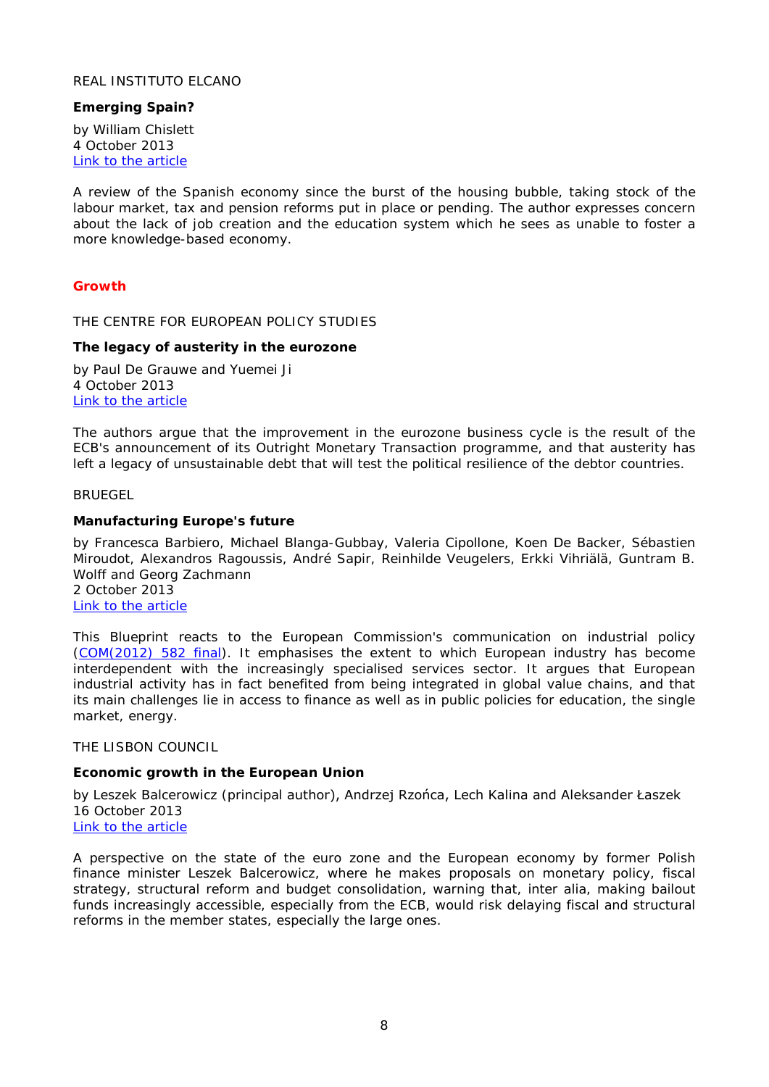# <span id="page-7-0"></span>REAL INSTITUTO ELCANO

# <span id="page-7-1"></span>**Emerging Spain?**

by William Chislett 4 October 2013 [Link to the article](http://www.realinstitutoelcano.org/wps/portal/rielcano_eng/Content?WCM_GLOBAL_CONTEXT=/elcano/elcano_in/zonas_in/wp12-2013-chislett-emerging-spain)

A review of the Spanish economy since the burst of the housing bubble, taking stock of the labour market, tax and pension reforms put in place or pending. The author expresses concern about the lack of job creation and the education system which he sees as unable to foster a more knowledge-based economy.

# <span id="page-7-2"></span>*Growth*

<span id="page-7-3"></span>THE CENTRE FOR EUROPEAN POLICY STUDIES

#### <span id="page-7-4"></span>**The legacy of austerity in the eurozone**

by Paul De Grauwe and Yuemei Ji 4 October 2013 [Link to the article](http://www.ceps.be/book/legacy-austerity-eurozone)

The authors argue that the improvement in the eurozone business cycle is the result of the ECB's announcement of its Outright Monetary Transaction programme, and that austerity has left a legacy of unsustainable debt that will test the political resilience of the debtor countries.

#### <span id="page-7-5"></span>BRUEGEL

#### <span id="page-7-6"></span>**Manufacturing Europe's future**

by Francesca Barbiero, Michael Blanga-Gubbay, Valeria Cipollone, Koen De Backer, Sébastien Miroudot, Alexandros Ragoussis, André Sapir, Reinhilde Veugelers, Erkki Vihriälä, Guntram B. Wolff and Georg Zachmann 2 October 2013 [Link to the article](http://www.bruegel.org/publications/publication-detail/view/795/)

This Blueprint reacts to the European Commission's communication on industrial policy [\(COM\(2012\) 582 final\)](http://eur-lex.europa.eu/LexUriServ/LexUriServ.do?uri=COM:2012:0582:FIN:EN:PDF). It emphasises the extent to which European industry has become interdependent with the increasingly specialised services sector. It argues that European industrial activity has in fact benefited from being integrated in global value chains, and that its main challenges lie in access to finance as well as in public policies for education, the single market, energy.

<span id="page-7-7"></span>THE LISBON COUNCIL

## <span id="page-7-8"></span>**Economic growth in the European Union**

by Leszek Balcerowicz (principal author), Andrzej Rzońca, Lech Kalina and Aleksander Łaszek 16 October 2013

# [Link to the article](http://www.lisboncouncil.net/publication/publication/100-economic-growth-in-the-european-union.html)

<span id="page-7-9"></span>A perspective on the state of the euro zone and the European economy by former Polish finance minister Leszek Balcerowicz, where he makes proposals on monetary policy, fiscal strategy, structural reform and budget consolidation, warning that, *inter alia*, making bailout funds increasingly accessible, especially from the ECB, would risk delaying fiscal and structural reforms in the member states, especially the large ones.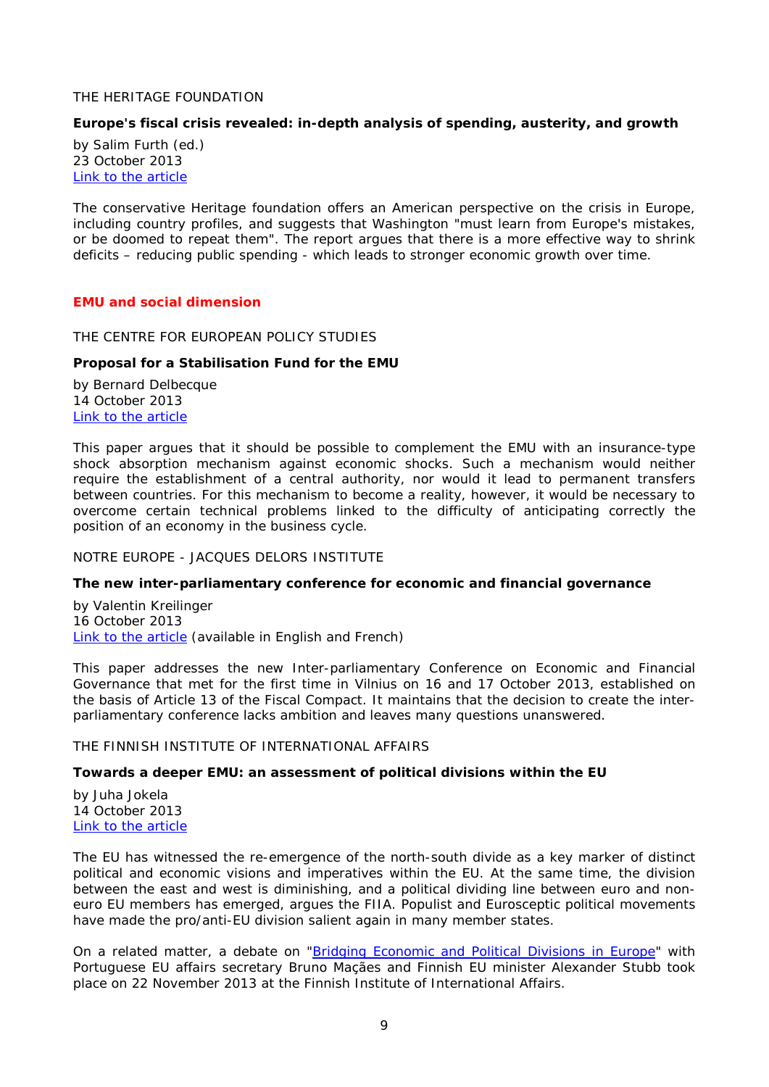## THE HERITAGE FOUNDATION

# <span id="page-8-0"></span>**Europe's fiscal crisis revealed: in-depth analysis of spending, austerity, and growth**

by Salim Furth (ed.) 23 October 2013 [Link to the article](http://thf_media.s3.amazonaws.com/2013/pdf/Europes%20Fiscal%20Crisis%20RevealedWP.pdf)

The conservative Heritage foundation offers an American perspective on the crisis in Europe, including country profiles, and suggests that Washington "must learn from Europe's mistakes, or be doomed to repeat them". The report argues that there is a more effective way to shrink deficits – reducing public spending - which leads to stronger economic growth over time.

# <span id="page-8-1"></span>*EMU and social dimension*

<span id="page-8-2"></span>THE CENTRE FOR EUROPEAN POLICY STUDIES

# <span id="page-8-3"></span>**Proposal for a Stabilisation Fund for the EMU**

by Bernard Delbecque 14 October 2013 [Link to the article](http://www.ceps.be/book/proposal-stabilisation-fund-emu)

This paper argues that it should be possible to complement the EMU with an insurance-type shock absorption mechanism against economic shocks. Such a mechanism would neither require the establishment of a central authority, nor would it lead to permanent transfers between countries. For this mechanism to become a reality, however, it would be necessary to overcome certain technical problems linked to the difficulty of anticipating correctly the position of an economy in the business cycle.

<span id="page-8-4"></span>NOTRE EUROPE - JACQUES DELORS INSTITUTE

#### <span id="page-8-5"></span>**The new inter-parliamentary conference for economic and financial governance**

by Valentin Kreilinger 16 October 2013 [Link to the article](http://www.notre-europe.eu/media/interparliamentaryconferenceecofinkreilingerne-jdioct2013.pdf?pdf=ok) (available in English and French)

This paper addresses the new Inter-parliamentary Conference on Economic and Financial Governance that met for the first time in Vilnius on 16 and 17 October 2013, established on the basis of Article 13 of the Fiscal Compact. It maintains that the decision to create the interparliamentary conference lacks ambition and leaves many questions unanswered.

# <span id="page-8-6"></span>THE FINNISH INSTITUTE OF INTERNATIONAL AFFAIRS

#### <span id="page-8-7"></span>**Towards a deeper EMU: an assessment of political divisions within the EU**

by Juha Jokela 14 October 2013 [Link to the article](http://www.fiia.fi/en/publication/364/towards_a_deeper_emu/)

The EU has witnessed the re-emergence of the north-south divide as a key marker of distinct political and economic visions and imperatives within the EU. At the same time, the division between the east and west is diminishing, and a political dividing line between euro and noneuro EU members has emerged, argues the FIIA. Populist and Eurosceptic political movements have made the pro/anti-EU division salient again in many member states.

On a related matter, a debate on ["Bridging Economic and Political Divisions in Europe"](http://www.fiia.fi/en/event/615/bridging_economic_and_political_divisions_in_europe/) with Portuguese EU affairs secretary Bruno Maçães and Finnish EU minister Alexander Stubb took place on 22 November 2013 at the Finnish Institute of International Affairs.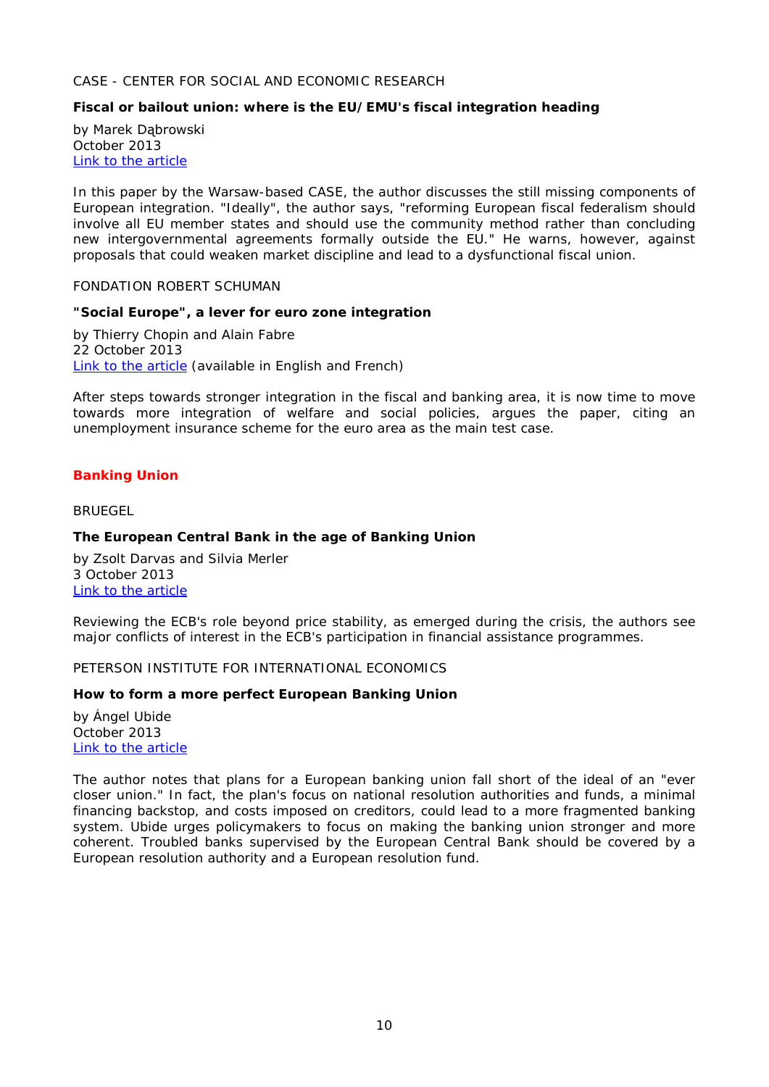# <span id="page-9-0"></span>CASE - CENTER FOR SOCIAL AND ECONOMIC RESEARCH

# <span id="page-9-1"></span>**Fiscal or bailout union: where is the EU/EMU's fiscal integration heading**

by Marek Dąbrowski October 2013 [Link to the article](http://www.case-research.eu/sites/default/files/publications/CNSA_2013_466.pdf)

In this paper by the Warsaw-based CASE, the author discusses the still missing components of European integration. "Ideally", the author says, "reforming European fiscal federalism should involve all EU member states and should use the community method rather than concluding new intergovernmental agreements formally outside the EU." He warns, however, against proposals that could weaken market discipline and lead to a dysfunctional fiscal union.

<span id="page-9-2"></span>FONDATION ROBERT SCHUMAN

#### <span id="page-9-3"></span>**"Social Europe", a lever for euro zone integration**

by Thierry Chopin and Alain Fabre 22 October 2013 [Link to the article](http://www.robert-schuman.eu/en/doc/questions-d-europe/qe-292-en.pdf) (available in English and French)

After steps towards stronger integration in the fiscal and banking area, it is now time to move towards more integration of welfare and social policies, argues the paper, citing an unemployment insurance scheme for the euro area as the main test case.

# <span id="page-9-4"></span>*Banking Union*

<span id="page-9-5"></span>BRUEGEL

# <span id="page-9-6"></span>**The European Central Bank in the age of Banking Union**

by Zsolt Darvas and Silvia Merler 3 October 2013 [Link to the article](http://www.bruegel.org/publications/publication-detail/publication/796-the-european-central-bank-in-the-age-of-banking-union/)

Reviewing the ECB's role beyond price stability, as emerged during the crisis, the authors see major conflicts of interest in the ECB's participation in financial assistance programmes.

# <span id="page-9-7"></span>PETERSON INSTITUTE FOR INTERNATIONAL ECONOMICS

# <span id="page-9-8"></span>**How to form a more perfect European Banking Union**

by Ángel Ubide October 2013 [Link to the article](http://www.iie.com/publications/pb/pb13-23.pdf)

<span id="page-9-9"></span>The author notes that plans for a European banking union fall short of the ideal of an "ever closer union." In fact, the plan's focus on national resolution authorities and funds, a minimal financing backstop, and costs imposed on creditors, could lead to a more fragmented banking system. Ubide urges policymakers to focus on making the banking union stronger and more coherent. Troubled banks supervised by the European Central Bank should be covered by a European resolution authority and a European resolution fund.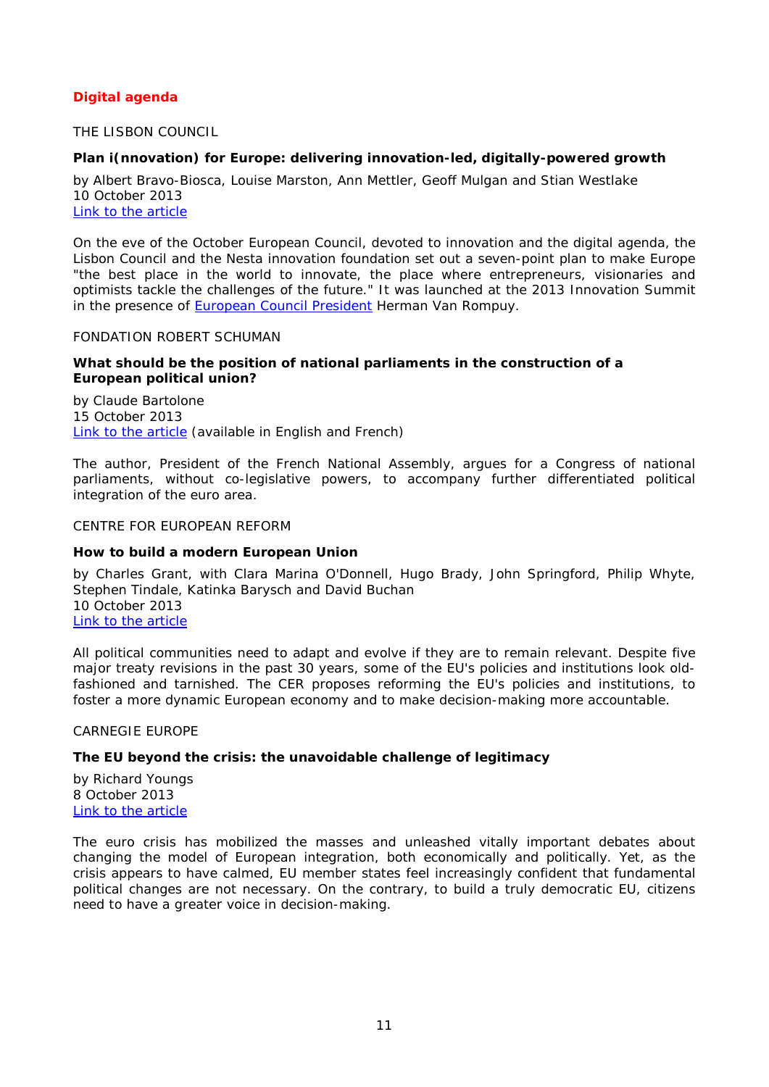# *Digital agenda*

# <span id="page-10-0"></span>THE LISBON COUNCIL

# <span id="page-10-1"></span>**Plan i(nnovation) for Europe: delivering innovation-led, digitally-powered growth**

by Albert Bravo-Biosca, Louise Marston, Ann Mettler, Geoff Mulgan and Stian Westlake 10 October 2013 [Link to the article](http://www.lisboncouncil.net/publication/publication/99-plan-innovation-for-europe-delivering-innovation-led-digitally-powered-growth.html)

On the eve of the October European Council, devoted to innovation and the digital agenda, the Lisbon Council and the Nesta innovation foundation set out a seven-point plan to make Europe "the best place in the world to innovate, the place where entrepreneurs, visionaries and optimists tackle the challenges of the future." It was launched at the 2013 Innovation Summit in the presence of [European Council President](http://www.consilium.europa.eu/uedocs/cms_data/docs/pressdata/en/ec/138963.pdf) Herman Van Rompuy.

#### <span id="page-10-2"></span>FONDATION ROBERT SCHUMAN

# <span id="page-10-3"></span>**What should be the position of national parliaments in the construction of a European political union?**

by Claude Bartolone 15 October 2013 [Link to the article](http://www.robert-schuman.eu/en/doc/questions-d-europe/qe-291-en.pdf) (available in English and French)

The author, President of the French National Assembly, argues for a Congress of national parliaments, without co-legislative powers, to accompany further differentiated political integration of the euro area.

#### <span id="page-10-4"></span>CENTRE FOR EUROPEAN REFORM

# <span id="page-10-5"></span>**How to build a modern European Union**

by Charles Grant, with Clara Marina O'Donnell, Hugo Brady, John Springford, Philip Whyte, Stephen Tindale, Katinka Barysch and David Buchan 10 October 2013 [Link to the article](http://www.cer.org.uk/sites/default/files/publications/attachments/pdf/2013/rp_119-7927.pdf)

All political communities need to adapt and evolve if they are to remain relevant. Despite five major treaty revisions in the past 30 years, some of the EU's policies and institutions look oldfashioned and tarnished. The CER proposes reforming the EU's policies and institutions, to foster a more dynamic European economy and to make decision-making more accountable.

<span id="page-10-6"></span>CARNEGIE EUROPE

# <span id="page-10-7"></span>**The EU beyond the crisis: the unavoidable challenge of legitimacy**

by Richard Youngs 8 October 2013 [Link to the article](http://carnegieendowment.org/files/eu_beyond_crisis_2.pdf)

<span id="page-10-8"></span>The euro crisis has mobilized the masses and unleashed vitally important debates about changing the model of European integration, both economically and politically. Yet, as the crisis appears to have calmed, EU member states feel increasingly confident that fundamental political changes are not necessary. On the contrary, to build a truly democratic EU, citizens need to have a greater voice in decision-making.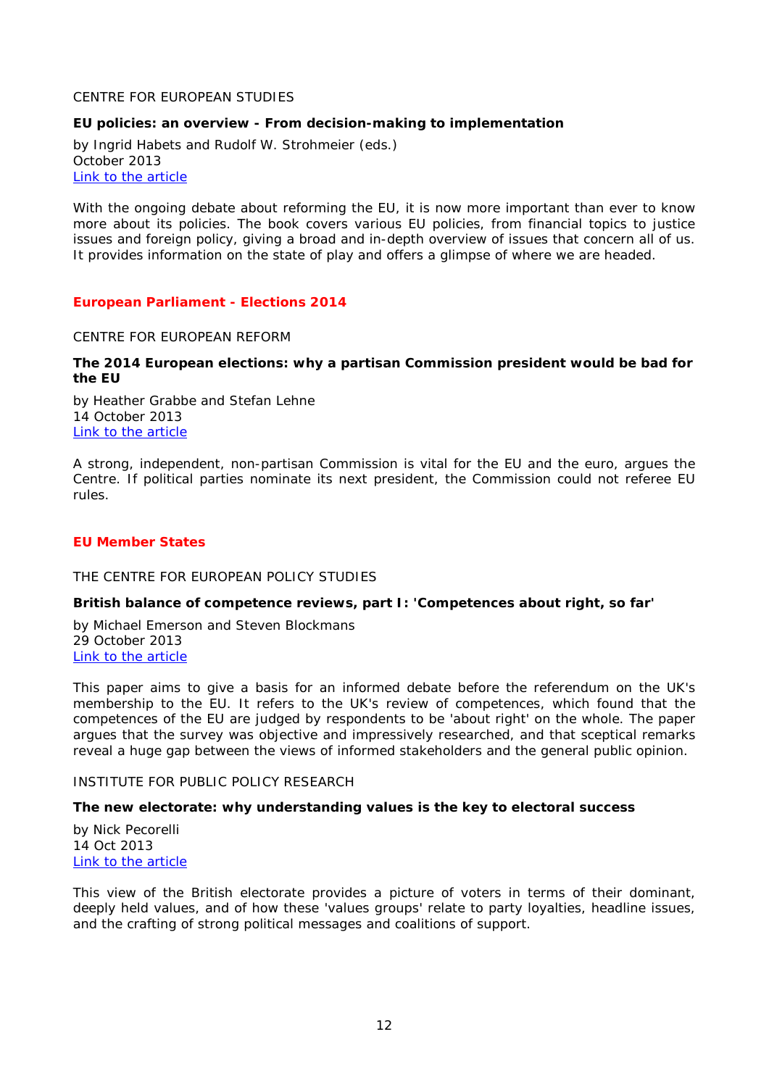CENTRE FOR EUROPEAN STUDIES

# <span id="page-11-0"></span>**EU policies: an overview - From decision-making to implementation**

by Ingrid Habets and Rudolf W. Strohmeier (eds.) October 2013 [Link to the article](http://thinkingeurope.eu/sites/default/files/publication-files/ces_eu_policies_book_web.pdf)

With the ongoing debate about reforming the EU, it is now more important than ever to know more about its policies. The book covers various EU policies, from financial topics to justice issues and foreign policy, giving a broad and in-depth overview of issues that concern all of us. It provides information on the state of play and offers a glimpse of where we are headed.

# <span id="page-11-1"></span>*European Parliament - Elections 2014*

<span id="page-11-2"></span>CENTRE FOR EUROPEAN REFORM

# <span id="page-11-3"></span>**The 2014 European elections: why a partisan Commission president would be bad for the EU**

by Heather Grabbe and Stefan Lehne 14 October 2013 [Link to the article](http://www.cer.org.uk/sites/default/files/publications/attachments/pdf/2013/esy_commissionpres_11oct13-7937.pdf)

A strong, independent, non-partisan Commission is vital for the EU and the euro, argues the Centre. If political parties nominate its next president, the Commission could not referee EU rules.

# <span id="page-11-4"></span>*EU Member States*

<span id="page-11-5"></span>THE CENTRE FOR EUROPEAN POLICY STUDIES

# <span id="page-11-6"></span>**British balance of competence reviews, part I: 'Competences about right, so far'**

by Michael Emerson and Steven Blockmans 29 October 2013 [Link to the article](http://www.ceps.be/book/british-balance-competence-reviews-part-i-%E2%80%98competences-about-right-so-far%E2%80%99)

This paper aims to give a basis for an informed debate before the referendum on the UK's membership to the EU. It refers to the UK's review of competences, which found that the competences of the EU are judged by respondents to be 'about right' on the whole. The paper argues that the survey was objective and impressively researched, and that sceptical remarks reveal a huge gap between the views of informed stakeholders and the general public opinion.

#### <span id="page-11-7"></span>INSTITUTE FOR PUBLIC POLICY RESEARCH

# <span id="page-11-8"></span>**The new electorate: why understanding values is the key to electoral success**

by Nick Pecorelli 14 Oct 2013 [Link to the article](http://www.ippr.org/images/media/files/publication/2013/10/new-electorate-voter-values_Oct2013_11359.pdf)

<span id="page-11-9"></span>This view of the British electorate provides a picture of voters in terms of their dominant, deeply held values, and of how these 'values groups' relate to party loyalties, headline issues, and the crafting of strong political messages and coalitions of support.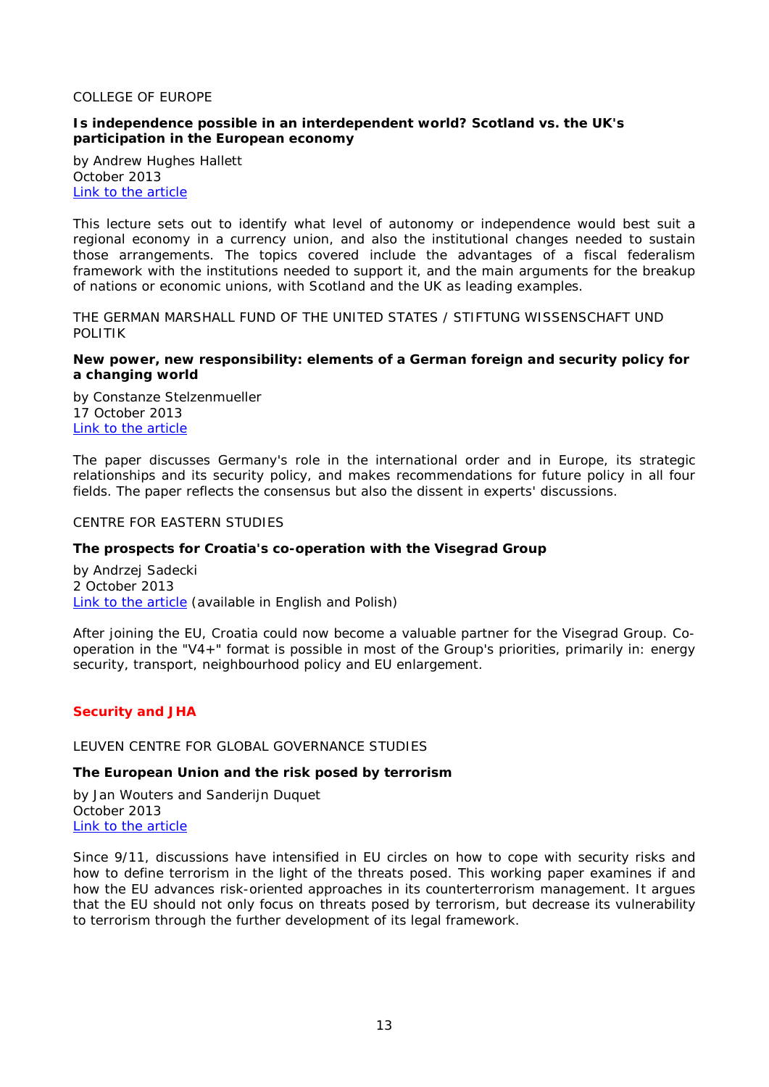#### COLLEGE OF EUROPE

# <span id="page-12-0"></span>**Is independence possible in an interdependent world? Scotland vs. the UK's participation in the European economy**

by Andrew Hughes Hallett October 2013 [Link to the article](https://www.coleurope.eu/website/study/european-economic-studies/research-activities/bruges-european-economic-policy)

This lecture sets out to identify what level of autonomy or independence would best suit a regional economy in a currency union, and also the institutional changes needed to sustain those arrangements. The topics covered include the advantages of a fiscal federalism framework with the institutions needed to support it, and the main arguments for the breakup of nations or economic unions, with Scotland and the UK as leading examples.

<span id="page-12-1"></span>THE GERMAN MARSHALL FUND OF THE UNITED STATES / STIFTUNG WISSENSCHAFT UND POLITIK

# <span id="page-12-2"></span>**New power, new responsibility: elements of a German foreign and security policy for a changing world**

by Constanze Stelzenmueller 17 October 2013 [Link to the article](http://www.gmfus.org/wp-content/blogs.dir/1/files_mf/1382017951GMFSWPReportNewPowerNewResponsibility.pdf)

The paper discusses Germany's role in the international order and in Europe, its strategic relationships and its security policy, and makes recommendations for future policy in all four fields. The paper reflects the consensus but also the dissent in experts' discussions.

## <span id="page-12-3"></span>CENTRE FOR EASTERN STUDIES

# <span id="page-12-4"></span>**The prospects for Croatia's co-operation with the Visegrad Group**

by Andrzej Sadecki 2 October 2013 [Link to the article](http://www.osw.waw.pl/sites/default/files/commentary_116.pdf) (available in English and Polish)

After joining the EU, Croatia could now become a valuable partner for the Visegrad Group. Cooperation in the "V4+" format is possible in most of the Group's priorities, primarily in: energy security, transport, neighbourhood policy and EU enlargement.

# <span id="page-12-5"></span>*Security and JHA*

#### <span id="page-12-6"></span>LEUVEN CENTRE FOR GLOBAL GOVERNANCE STUDIES

## <span id="page-12-7"></span>**The European Union and the risk posed by terrorism**

by Jan Wouters and Sanderijn Duquet October 2013 [Link to the article](http://ghum.kuleuven.be/ggs/publications/working_papers/new_series/wp121-130/wp122-wouters-duquet.pdf)

Since 9/11, discussions have intensified in EU circles on how to cope with security risks and how to define terrorism in the light of the threats posed. This working paper examines if and how the EU advances risk-oriented approaches in its counterterrorism management. It argues that the EU should not only focus on threats posed by terrorism, but decrease its vulnerability to terrorism through the further development of its legal framework.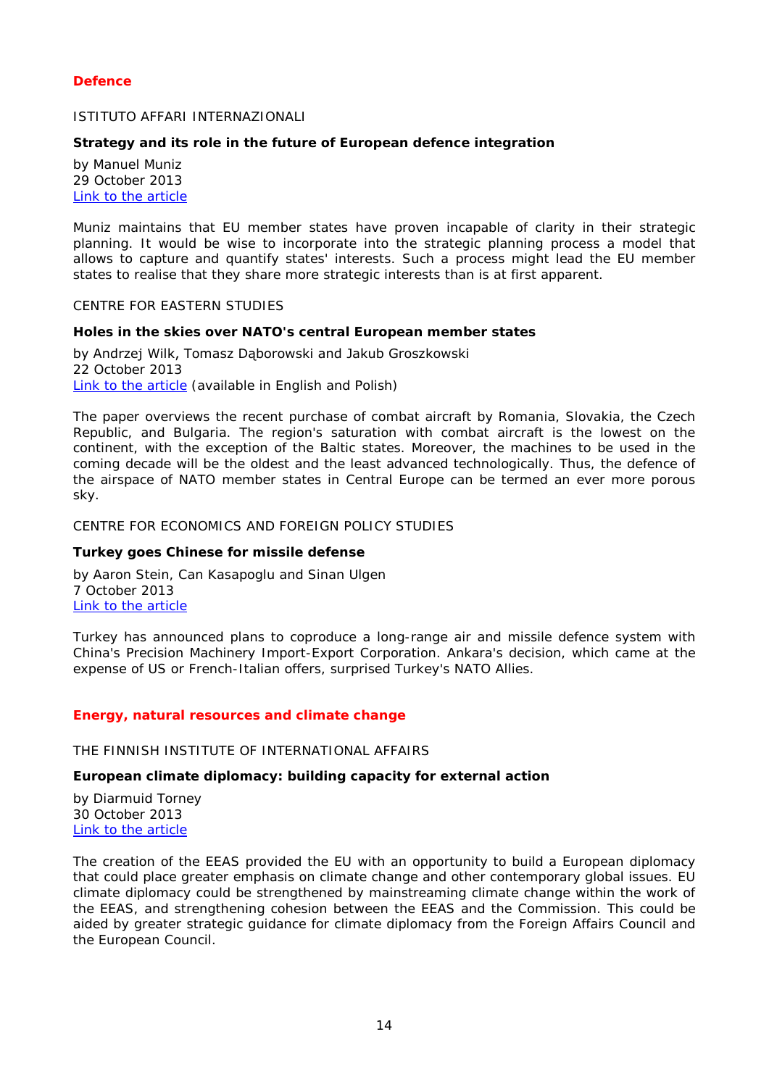# <span id="page-13-0"></span>*Defence*

# <span id="page-13-1"></span>ISTITUTO AFFARI INTERNAZIONALI

# <span id="page-13-2"></span>**Strategy and its role in the future of European defence integration**

by Manuel Muniz 29 October 2013 [Link to the article](http://www.iai.it/pdf/DocIAI/iaiwp1330.pdf)

Muniz maintains that EU member states have proven incapable of clarity in their strategic planning. It would be wise to incorporate into the strategic planning process a model that allows to capture and quantify states' interests. Such a process might lead the EU member states to realise that they share more strategic interests than is at first apparent.

#### <span id="page-13-3"></span>CENTRE FOR EASTERN STUDIES

# <span id="page-13-4"></span>**Holes in the skies over NATO's central European member states**

by Andrzej Wilk, Tomasz Dąborowski and Jakub Groszkowski 22 October 2013 [Link to the article](http://www.osw.waw.pl/sites/default/files/commentary_119.pdf) (available in English and Polish)

The paper overviews the recent purchase of combat aircraft by Romania, Slovakia, the Czech Republic, and Bulgaria. The region's saturation with combat aircraft is the lowest on the continent, with the exception of the Baltic states. Moreover, the machines to be used in the coming decade will be the oldest and the least advanced technologically. Thus, the defence of the airspace of NATO member states in Central Europe can be termed an ever more porous sky.

#### <span id="page-13-5"></span>CENTRE FOR ECONOMICS AND FOREIGN POLICY STUDIES

#### <span id="page-13-6"></span>**Turkey goes Chinese for missile defense**

by Aaron Stein, Can Kasapoglu and Sinan Ulgen 7 October 2013 [Link to the article](http://edam.org.tr/eng/document/TR_China_MD.pdf)

Turkey has announced plans to coproduce a long-range air and missile defence system with China's Precision Machinery Import-Export Corporation. Ankara's decision, which came at the expense of US or French-Italian offers, surprised Turkey's NATO Allies.

#### <span id="page-13-7"></span>*Energy, natural resources and climate change*

## <span id="page-13-8"></span>THE FINNISH INSTITUTE OF INTERNATIONAL AFFAIRS

#### <span id="page-13-9"></span>**European climate diplomacy: building capacity for external action**

by Diarmuid Torney 30 October 2013 [Link to the article](http://www.fiia.fi/en/publication/370/european_climate_diplomacy/)

<span id="page-13-10"></span>The creation of the EEAS provided the EU with an opportunity to build a European diplomacy that could place greater emphasis on climate change and other contemporary global issues. EU climate diplomacy could be strengthened by mainstreaming climate change within the work of the EEAS, and strengthening cohesion between the EEAS and the Commission. This could be aided by greater strategic guidance for climate diplomacy from the Foreign Affairs Council and the European Council.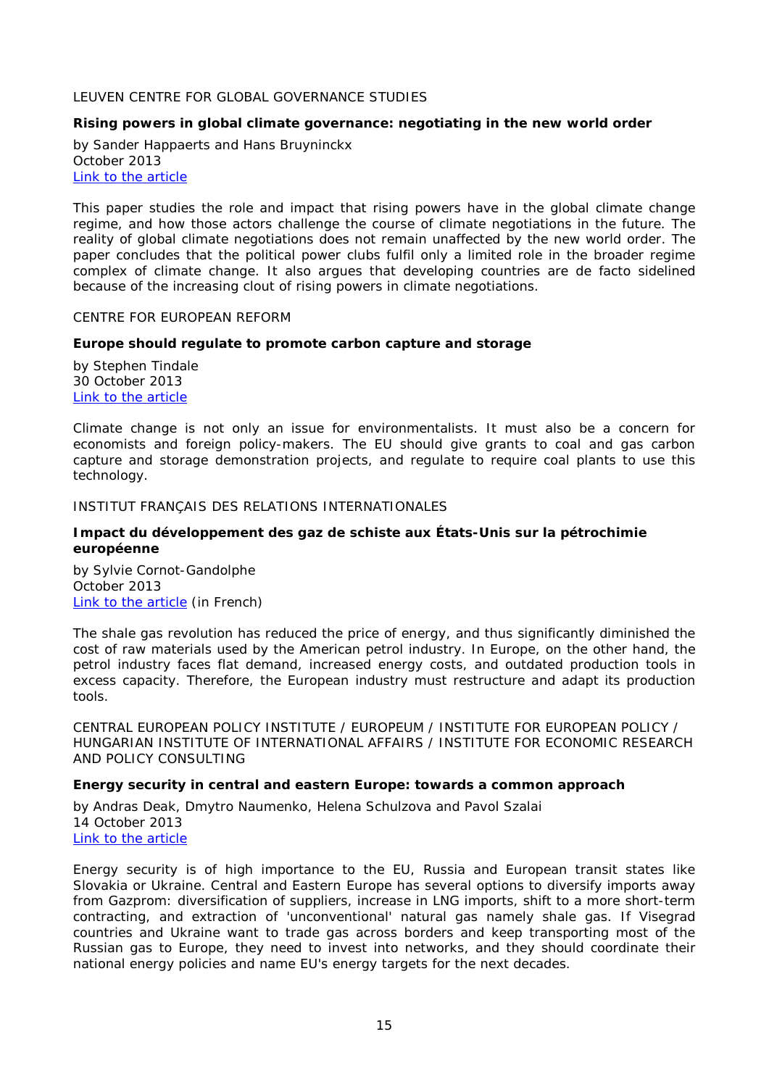## LEUVEN CENTRE FOR GLOBAL GOVERNANCE STUDIES

# <span id="page-14-0"></span>**Rising powers in global climate governance: negotiating in the new world order**

by Sander Happaerts and Hans Bruyninckx October 2013 [Link to the article](http://ghum.kuleuven.be/ggs/publications/working_papers/new_series/wp121-130/wp124-happaerts-bruyninckx-finaal.pdf)

This paper studies the role and impact that rising powers have in the global climate change regime, and how those actors challenge the course of climate negotiations in the future. The reality of global climate negotiations does not remain unaffected by the new world order. The paper concludes that the political power clubs fulfil only a limited role in the broader regime complex of climate change. It also argues that developing countries are de facto sidelined because of the increasing clout of rising powers in climate negotiations.

#### <span id="page-14-1"></span>CENTRE FOR EUROPEAN REFORM

#### <span id="page-14-2"></span>**Europe should regulate to promote carbon capture and storage**

by Stephen Tindale 30 October 2013 [Link to the article](http://www.cer.org.uk/sites/default/files/publications/attachments/pdf/2013/pb_sct_ccs_30oct13-8032.pdf)

Climate change is not only an issue for environmentalists. It must also be a concern for economists and foreign policy-makers. The EU should give grants to coal and gas carbon capture and storage demonstration projects, and regulate to require coal plants to use this technology.

#### <span id="page-14-3"></span>INSTITUT FRANÇAIS DES RELATIONS INTERNATIONALES

#### <span id="page-14-4"></span>**Impact du développement des gaz de schiste aux États-Unis sur la pétrochimie européenne**

by Sylvie Cornot-Gandolphe October 2013 [Link to the article](http://www.ifri.org/index.php?page=detail-contribution&id=7866&id_provenance=97&lang=fr) (in French)

The shale gas revolution has reduced the price of energy, and thus significantly diminished the cost of raw materials used by the American petrol industry. In Europe, on the other hand, the petrol industry faces flat demand, increased energy costs, and outdated production tools in excess capacity. Therefore, the European industry must restructure and adapt its production tools.

<span id="page-14-5"></span>CENTRAL EUROPEAN POLICY INSTITUTE / EUROPEUM / INSTITUTE FOR EUROPEAN POLICY / HUNGARIAN INSTITUTE OF INTERNATIONAL AFFAIRS / INSTITUTE FOR ECONOMIC RESEARCH AND POLICY CONSULTING

#### <span id="page-14-6"></span>**Energy security in central and eastern Europe: towards a common approach**

by Andras Deak, Dmytro Naumenko, Helena Schulzova and Pavol Szalai 14 October 2013 [Link to the article](http://www.europeum.org/images/paper/energy_security_in_cee.pdf)

Energy security is of high importance to the EU, Russia and European transit states like Slovakia or Ukraine. Central and Eastern Europe has several options to diversify imports away from Gazprom: diversification of suppliers, increase in LNG imports, shift to a more short-term contracting, and extraction of 'unconventional' natural gas namely shale gas. If Visegrad countries and Ukraine want to trade gas across borders and keep transporting most of the Russian gas to Europe, they need to invest into networks, and they should coordinate their national energy policies and name EU's energy targets for the next decades.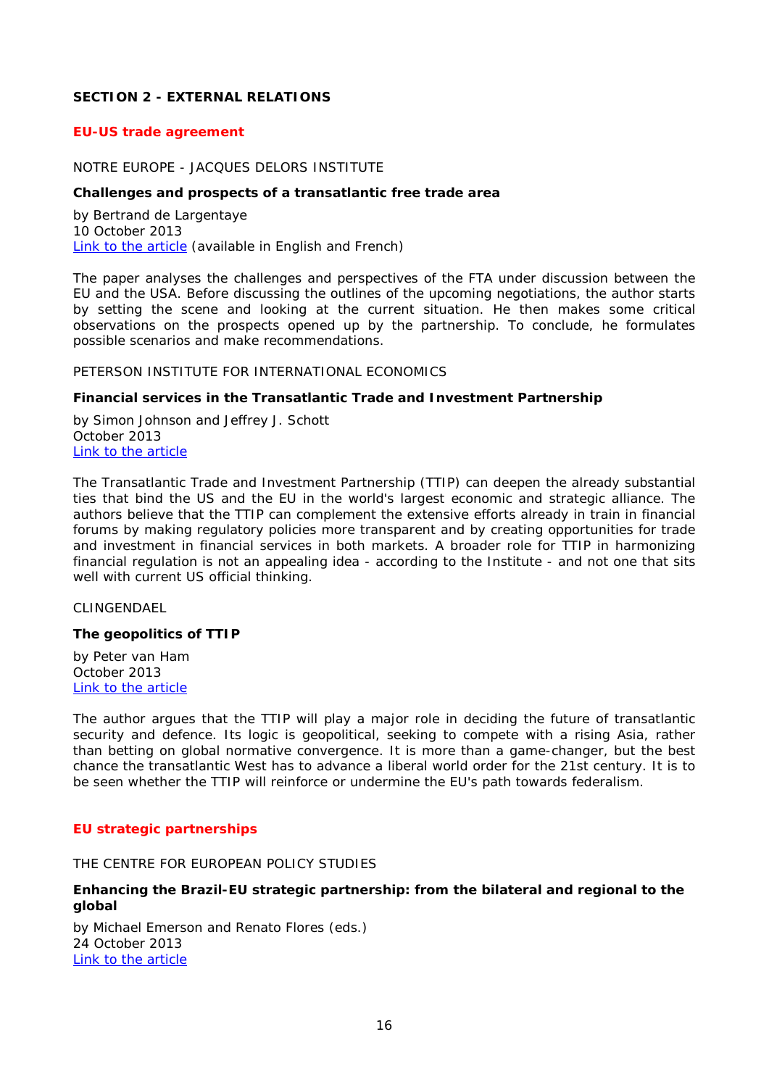# <span id="page-15-0"></span>**SECTION 2 - EXTERNAL RELATIONS**

# <span id="page-15-1"></span>*EU-US trade agreement*

# <span id="page-15-2"></span>NOTRE EUROPE - JACQUES DELORS INSTITUTE

#### <span id="page-15-3"></span>**Challenges and prospects of a transatlantic free trade area**

by Bertrand de Largentaye 10 October 2013 [Link to the article](http://www.notre-europe.eu/media/challengesprospectstransatlanticfreetradearea.pdf?pdf=ok) (available in English and French)

The paper analyses the challenges and perspectives of the FTA under discussion between the EU and the USA. Before discussing the outlines of the upcoming negotiations, the author starts by setting the scene and looking at the current situation. He then makes some critical observations on the prospects opened up by the partnership. To conclude, he formulates possible scenarios and make recommendations.

#### <span id="page-15-4"></span>PETERSON INSTITUTE FOR INTERNATIONAL ECONOMICS

#### <span id="page-15-5"></span>**Financial services in the Transatlantic Trade and Investment Partnership**

by Simon Johnson and Jeffrey J. Schott October 2013 [Link to the article](http://www.iie.com/publications/pb/pb13-26.pdf)

The Transatlantic Trade and Investment Partnership (TTIP) can deepen the already substantial ties that bind the US and the EU in the world's largest economic and strategic alliance. The authors believe that the TTIP can complement the extensive efforts already in train in financial forums by making regulatory policies more transparent and by creating opportunities for trade and investment in financial services in both markets. A broader role for TTIP in harmonizing financial regulation is not an appealing idea - according to the Institute - and not one that sits well with current US official thinking.

<span id="page-15-6"></span>CLINGENDAEL

#### <span id="page-15-7"></span>**The geopolitics of TTIP**

by Peter van Ham October 2013 [Link to the article](http://www.clingendael.nl/sites/default/files/The%20Geopolitics%20of%20TTIP%20-%20Clingendael%20Policy%20Brief.pdf)

The author argues that the TTIP will play a major role in deciding the future of transatlantic security and defence. Its logic is geopolitical, seeking to compete with a rising Asia, rather than betting on global normative convergence. It is more than a game-changer, but the best chance the transatlantic West has to advance a liberal world order for the 21st century. It is to be seen whether the TTIP will reinforce or undermine the EU's path towards federalism.

# <span id="page-15-8"></span>*EU strategic partnerships*

<span id="page-15-9"></span>THE CENTRE FOR EUROPEAN POLICY STUDIES

# <span id="page-15-10"></span>**Enhancing the Brazil-EU strategic partnership: from the bilateral and regional to the global**

by Michael Emerson and Renato Flores (eds.) 24 October 2013 [Link to the article](http://www.ceps.be/book/enhancing-brazil-eu-strategic-partnership-bilateral-and-regional-global)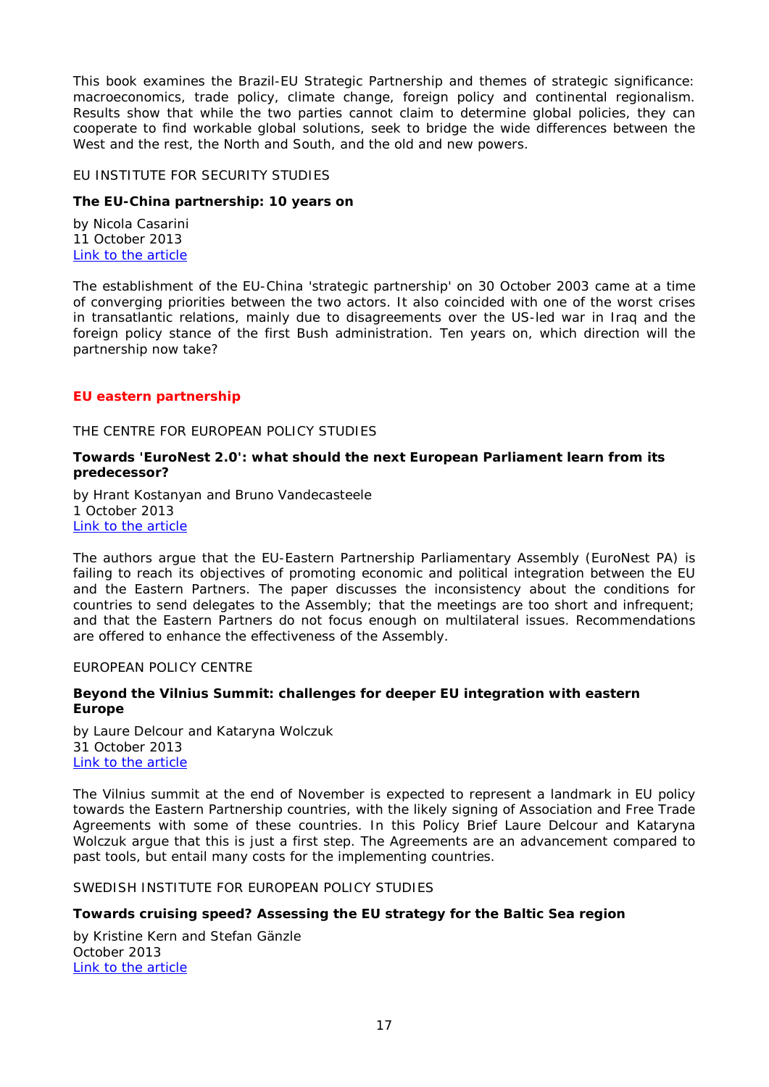This book examines the Brazil-EU Strategic Partnership and themes of strategic significance: macroeconomics, trade policy, climate change, foreign policy and continental regionalism. Results show that while the two parties cannot claim to determine global policies, they can cooperate to find workable global solutions, seek to bridge the wide differences between the West and the rest, the North and South, and the old and new powers.

#### <span id="page-16-0"></span>EU INSTITUTE FOR SECURITY STUDIES

# <span id="page-16-1"></span>**The EU-China partnership: 10 years on**

by Nicola Casarini 11 October 2013 [Link to the article](http://www.iss.europa.eu/uploads/media/Brief_35_EU-China_partnership.pdf)

The establishment of the EU-China 'strategic partnership' on 30 October 2003 came at a time of converging priorities between the two actors. It also coincided with one of the worst crises in transatlantic relations, mainly due to disagreements over the US-led war in Iraq and the foreign policy stance of the first Bush administration. Ten years on, which direction will the partnership now take?

# <span id="page-16-2"></span>*EU eastern partnership*

#### <span id="page-16-3"></span>THE CENTRE FOR EUROPEAN POLICY STUDIES

# <span id="page-16-4"></span>**Towards 'EuroNest 2.0': what should the next European Parliament learn from its predecessor?**

by Hrant Kostanyan and Bruno Vandecasteele 1 October 2013 [Link to the article](http://www.ceps.be/book/towards-%E2%80%98euronest-20%E2%80%99-what-should-next-european-parliament-learn-its-predecessor)

The authors argue that the EU-Eastern Partnership Parliamentary Assembly (EuroNest PA) is failing to reach its objectives of promoting economic and political integration between the EU and the Eastern Partners. The paper discusses the inconsistency about the conditions for countries to send delegates to the Assembly; that the meetings are too short and infrequent; and that the Eastern Partners do not focus enough on multilateral issues. Recommendations are offered to enhance the effectiveness of the Assembly.

#### <span id="page-16-5"></span>EUROPEAN POLICY CENTRE

# <span id="page-16-6"></span>**Beyond the Vilnius Summit: challenges for deeper EU integration with eastern Europe**

by Laure Delcour and Kataryna Wolczuk 31 October 2013 [Link to the article](http://www.epc.eu/documents/uploads/pub_3889_beyond_the_vilnius_summit.pdf)

The Vilnius summit at the end of November is expected to represent a landmark in EU policy towards the Eastern Partnership countries, with the likely signing of Association and Free Trade Agreements with some of these countries. In this Policy Brief Laure Delcour and Kataryna Wolczuk argue that this is just a first step. The Agreements are an advancement compared to past tools, but entail many costs for the implementing countries.

<span id="page-16-7"></span>SWEDISH INSTITUTE FOR EUROPEAN POLICY STUDIES

# <span id="page-16-8"></span>**Towards cruising speed? Assessing the EU strategy for the Baltic Sea region**

by Kristine Kern and Stefan Gänzle October 2013 [Link to the article](http://www.sieps.se/sites/default/files/2013_17epa.pdf)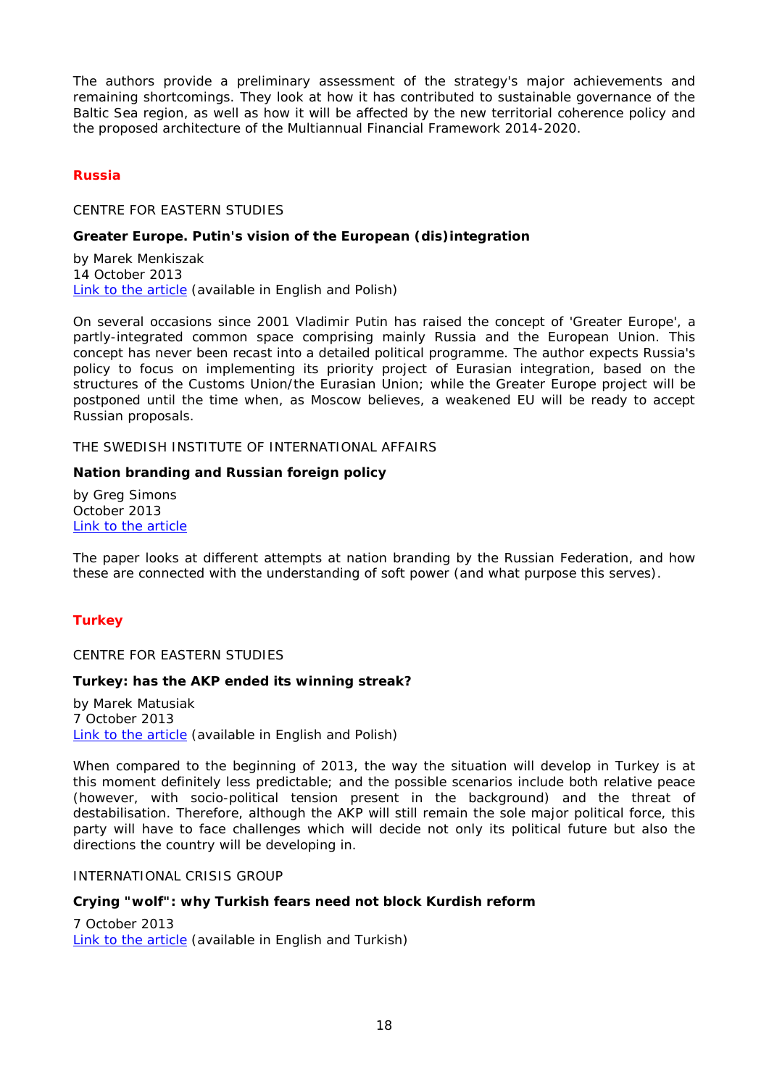The authors provide a preliminary assessment of the strategy's major achievements and remaining shortcomings. They look at how it has contributed to sustainable governance of the Baltic Sea region, as well as how it will be affected by the new territorial coherence policy and the proposed architecture of the Multiannual Financial Framework 2014-2020.

# <span id="page-17-0"></span>*Russia*

<span id="page-17-1"></span>CENTRE FOR EASTERN STUDIES

# <span id="page-17-2"></span>**Greater Europe. Putin's vision of the European (dis)integration**

by Marek Menkiszak 14 October 2013 [Link to the article](http://www.osw.waw.pl/sites/default/files/greater_europe_net.pdf) (available in English and Polish)

On several occasions since 2001 Vladimir Putin has raised the concept of 'Greater Europe', a partly-integrated common space comprising mainly Russia and the European Union. This concept has never been recast into a detailed political programme. The author expects Russia's policy to focus on implementing its priority project of Eurasian integration, based on the structures of the Customs Union/the Eurasian Union; while the Greater Europe project will be postponed until the time when, as Moscow believes, a weakened EU will be ready to accept Russian proposals.

<span id="page-17-3"></span>THE SWEDISH INSTITUTE OF INTERNATIONAL AFFAIRS

# <span id="page-17-4"></span>**Nation branding and Russian foreign policy**

by Greg Simons October 2013 [Link to the article](http://www.ui.se/eng/upl/files/97515.pdf)

The paper looks at different attempts at nation branding by the Russian Federation, and how these are connected with the understanding of soft power (and what purpose this serves).

# <span id="page-17-5"></span>*Turkey*

<span id="page-17-6"></span>CENTRE FOR EASTERN STUDIES

# <span id="page-17-7"></span>**Turkey: has the AKP ended its winning streak?**

by Marek Matusiak 7 October 2013 [Link to the article](http://www.osw.waw.pl/sites/default/files/commentary_117.pdf) (available in English and Polish)

When compared to the beginning of 2013, the way the situation will develop in Turkey is at this moment definitely less predictable; and the possible scenarios include both relative peace (however, with socio-political tension present in the background) and the threat of destabilisation. Therefore, although the AKP will still remain the sole major political force, this party will have to face challenges which will decide not only its political future but also the directions the country will be developing in.

#### <span id="page-17-8"></span>INTERNATIONAL CRISIS GROUP

# <span id="page-17-9"></span>**Crying "wolf": why Turkish fears need not block Kurdish reform**

7 October 2013 [Link to the article](http://www.crisisgroup.org/~/media/Files/europe/turkey-cyprus/turkey/227-crying-wolf-why-turkish-fears-need-not-block-kurdish-reform.pdf) (available in English and Turkish)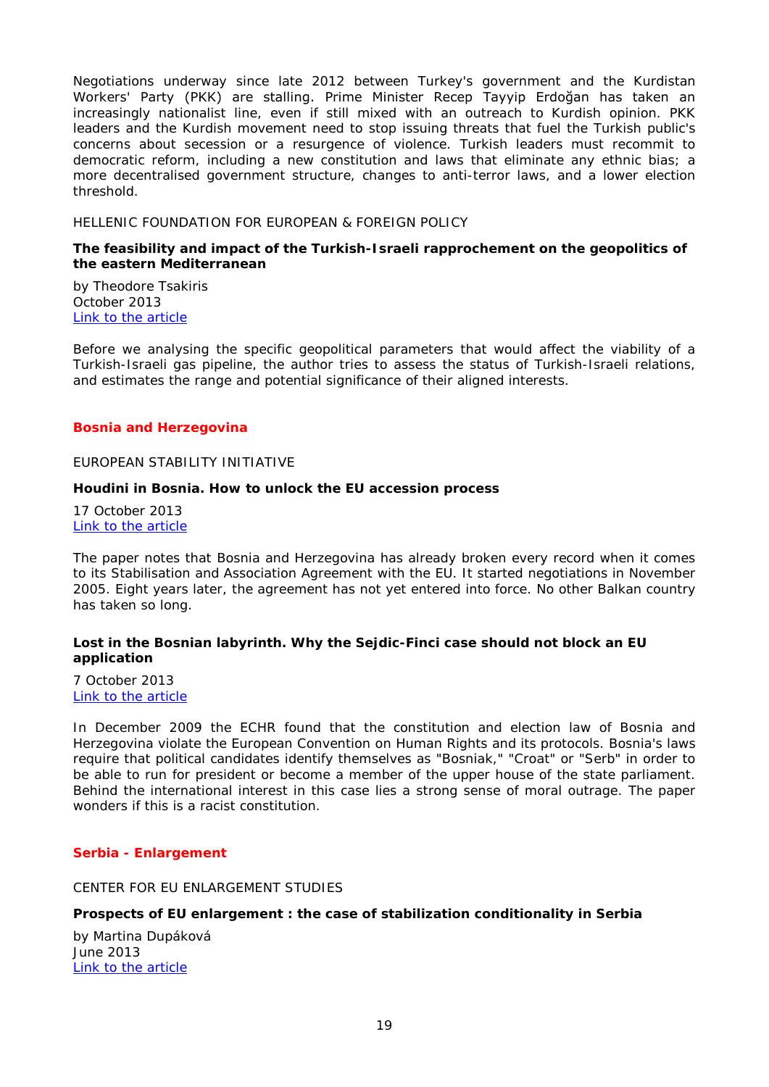Negotiations underway since late 2012 between Turkey's government and the Kurdistan Workers' Party (PKK) are stalling. Prime Minister Recep Tayyip Erdoğan has taken an increasingly nationalist line, even if still mixed with an outreach to Kurdish opinion. PKK leaders and the Kurdish movement need to stop issuing threats that fuel the Turkish public's concerns about secession or a resurgence of violence. Turkish leaders must recommit to democratic reform, including a new constitution and laws that eliminate any ethnic bias; a more decentralised government structure, changes to anti-terror laws, and a lower election threshold.

#### <span id="page-18-0"></span>HELLENIC FOUNDATION FOR EUROPEAN & FOREIGN POLICY

#### <span id="page-18-1"></span>**The feasibility and impact of the Turkish-Israeli rapprochement on the geopolitics of the eastern Mediterranean**

by Theodore Tsakiris October 2013 [Link to the article](http://www.eliamep.gr/wp-content/uploads/2013/10/Briefing-Notes_22_October-2013_Tsakiris-Theodore-1.pdf)

Before we analysing the specific geopolitical parameters that would affect the viability of a Turkish-Israeli gas pipeline, the author tries to assess the status of Turkish-Israeli relations, and estimates the range and potential significance of their aligned interests.

#### <span id="page-18-2"></span>*Bosnia and Herzegovina*

#### <span id="page-18-3"></span>EUROPEAN STABILITY INITIATIVE

#### <span id="page-18-4"></span>**Houdini in Bosnia. How to unlock the EU accession process**

17 October 2013 [Link to the article](http://www.esiweb.org/pdf/esi_document_id_144.pdf)

The paper notes that Bosnia and Herzegovina has already broken every record when it comes to its Stabilisation and Association Agreement with the EU. It started negotiations in November 2005. Eight years later, the agreement has not yet entered into force. No other Balkan country has taken so long.

# <span id="page-18-5"></span>**Lost in the Bosnian labyrinth. Why the Sejdic-Finci case should not block an EU application**

7 October 2013 [Link to the article](http://www.esiweb.org/pdf/esi_document_id_143.pdf)

In December 2009 the ECHR found that the constitution and election law of Bosnia and Herzegovina violate the European Convention on Human Rights and its protocols. Bosnia's laws require that political candidates identify themselves as "Bosniak," "Croat" or "Serb" in order to be able to run for president or become a member of the upper house of the state parliament. Behind the international interest in this case lies a strong sense of moral outrage. The paper wonders if this is a racist constitution.

# <span id="page-18-7"></span><span id="page-18-6"></span>*Serbia - Enlargement*

CENTER FOR EU ENLARGEMENT STUDIES

# <span id="page-18-8"></span>**Prospects of EU enlargement : the case of stabilization conditionality in Serbia**

by Martina Dupáková June 2013 [Link to the article](https://cens.ceu.hu/sites/default/files/publications/eu-frontiers-student-papers-vol1-martina-dupakova.pdf)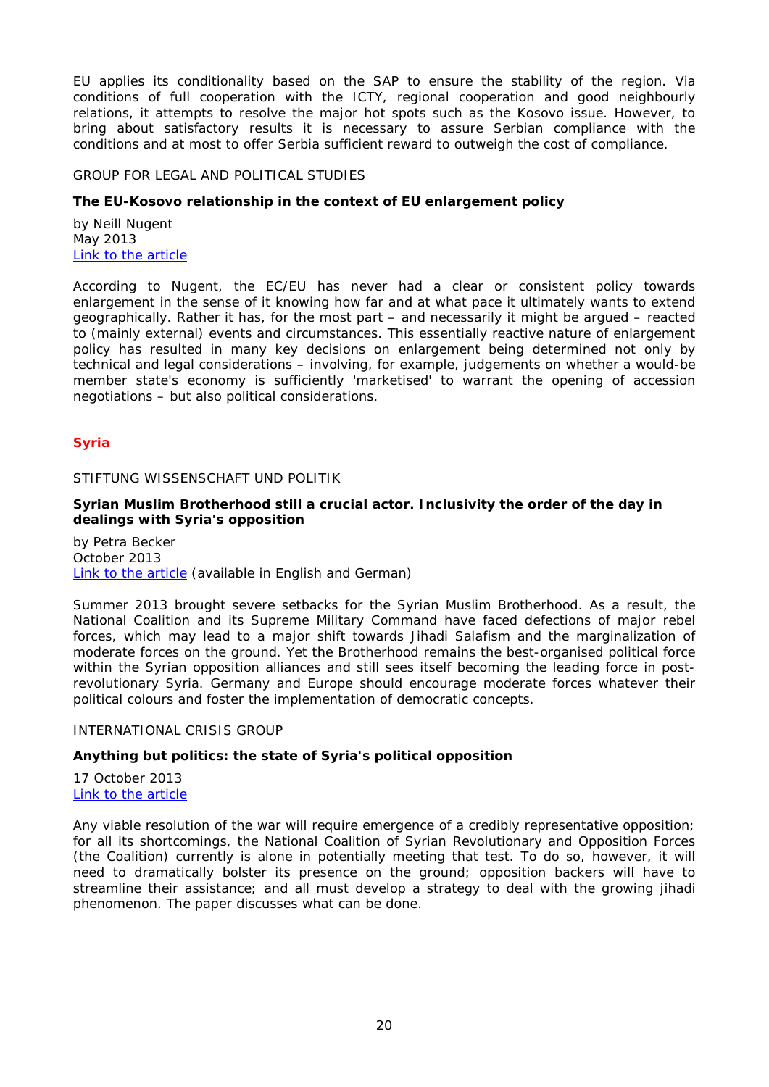EU applies its conditionality based on the SAP to ensure the stability of the region. Via conditions of full cooperation with the ICTY, regional cooperation and good neighbourly relations, it attempts to resolve the major hot spots such as the Kosovo issue. However, to bring about satisfactory results it is necessary to assure Serbian compliance with the conditions and at most to offer Serbia sufficient reward to outweigh the cost of compliance.

#### <span id="page-19-0"></span>GROUP FOR LEGAL AND POLITICAL STUDIES

# <span id="page-19-1"></span>**The EU-Kosovo relationship in the context of EU enlargement policy**

by Neill Nugent May 2013 [Link to the article](http://legalpoliticalstudies.org/download/Policy%20Report%2003%202013.pdf)

According to Nugent, the EC/EU has never had a clear or consistent policy towards enlargement in the sense of it knowing how far and at what pace it ultimately wants to extend geographically. Rather it has, for the most part – and necessarily it might be argued – reacted to (mainly external) events and circumstances. This essentially reactive nature of enlargement policy has resulted in many key decisions on enlargement being determined not only by technical and legal considerations – involving, for example, judgements on whether a would-be member state's economy is sufficiently 'marketised' to warrant the opening of accession negotiations – but also political considerations.

# <span id="page-19-2"></span>*Syria*

#### <span id="page-19-3"></span>STIFTUNG WISSENSCHAFT UND POLITIK

# <span id="page-19-4"></span>**Syrian Muslim Brotherhood still a crucial actor. Inclusivity the order of the day in dealings with Syria's opposition**

by Petra Becker October 2013 [Link to the article](http://www.swp-berlin.org/fileadmin/contents/products/comments/2013C34_bkp.pdf) (available in English and German)

Summer 2013 brought severe setbacks for the Syrian Muslim Brotherhood. As a result, the National Coalition and its Supreme Military Command have faced defections of major rebel forces, which may lead to a major shift towards Jihadi Salafism and the marginalization of moderate forces on the ground. Yet the Brotherhood remains the best-organised political force within the Syrian opposition alliances and still sees itself becoming the leading force in postrevolutionary Syria. Germany and Europe should encourage moderate forces whatever their political colours and foster the implementation of democratic concepts.

# <span id="page-19-5"></span>INTERNATIONAL CRISIS GROUP

# <span id="page-19-6"></span>**Anything but politics: the state of Syria's political opposition**

17 October 2013 [Link to the article](http://www.crisisgroup.org/~/media/Files/Middle%20East%20North%20Africa/Iraq%20Syria%20Lebanon/Syria/146-anything-but-politics-the-state-of-syrias-political-opposition.pdf)

Any viable resolution of the war will require emergence of a credibly representative opposition; for all its shortcomings, the National Coalition of Syrian Revolutionary and Opposition Forces (the Coalition) currently is alone in potentially meeting that test. To do so, however, it will need to dramatically bolster its presence on the ground; opposition backers will have to streamline their assistance; and all must develop a strategy to deal with the growing jihadi phenomenon. The paper discusses what can be done.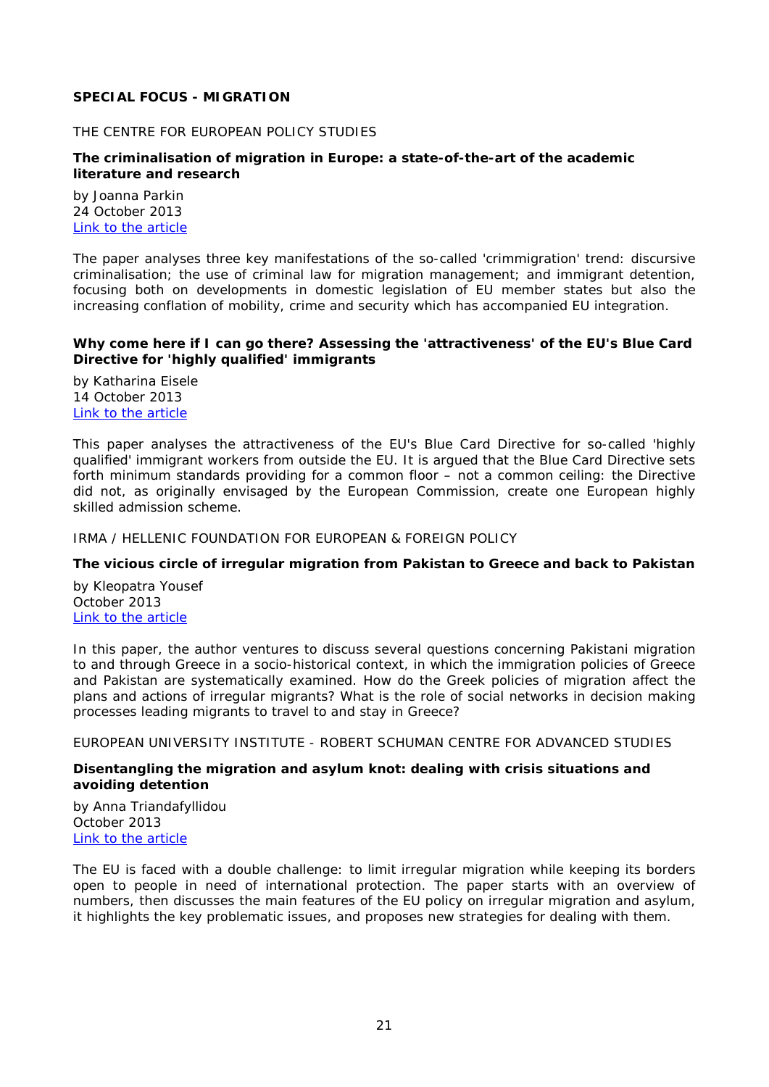# <span id="page-20-0"></span>**SPECIAL FOCUS - MIGRATION**

# <span id="page-20-1"></span>THE CENTRE FOR EUROPEAN POLICY STUDIES

## <span id="page-20-2"></span>**The criminalisation of migration in Europe: a state-of-the-art of the academic literature and research**

by Joanna Parkin 24 October 2013 [Link to the article](http://www.ceps.be/book/criminalisation-migration-europe-state-art-academic-literature-and-research)

The paper analyses three key manifestations of the so-called 'crimmigration' trend: discursive criminalisation; the use of criminal law for migration management; and immigrant detention, focusing both on developments in domestic legislation of EU member states but also the increasing conflation of mobility, crime and security which has accompanied EU integration.

#### <span id="page-20-3"></span>**Why come here if I can go there? Assessing the 'attractiveness' of the EU's Blue Card Directive for 'highly qualified' immigrants**

by Katharina Eisele 14 October 2013 [Link to the article](http://www.ceps.be/book/why-come-here-if-i-can-go-there-assessing-%E2%80%98attractiveness%E2%80%99-eu%E2%80%99s-blue-card-directive-%E2%80%98highly-qua)

This paper analyses the attractiveness of the EU's Blue Card Directive for so-called 'highly qualified' immigrant workers from outside the EU. It is argued that the Blue Card Directive sets forth minimum standards providing for a common floor – not a common ceiling: the Directive did not, as originally envisaged by the European Commission, create one European highly skilled admission scheme.

<span id="page-20-4"></span>IRMA / HELLENIC FOUNDATION FOR EUROPEAN & FOREIGN POLICY

#### <span id="page-20-5"></span>**The vicious circle of irregular migration from Pakistan to Greece and back to Pakistan**

by Kleopatra Yousef October 2013 [Link to the article](http://irma.eliamep.gr/wp-content/uploads/2013/02/IRMA-Background-Report_PAKISTAN.pdf)

In this paper, the author ventures to discuss several questions concerning Pakistani migration to and through Greece in a socio-historical context, in which the immigration policies of Greece and Pakistan are systematically examined. How do the Greek policies of migration affect the plans and actions of irregular migrants? What is the role of social networks in decision making processes leading migrants to travel to and stay in Greece?

# <span id="page-20-6"></span>EUROPEAN UNIVERSITY INSTITUTE - ROBERT SCHUMAN CENTRE FOR ADVANCED STUDIES

# <span id="page-20-7"></span>**Disentangling the migration and asylum knot: dealing with crisis situations and avoiding detention**

by Anna Triandafyllidou October 2013 [Link to the article](http://cadmus.eui.eu/bitstream/handle/1814/28379/RSCAS_PP_2013_19.pdf?sequence=1)

The EU is faced with a double challenge: to limit irregular migration while keeping its borders open to people in need of international protection. The paper starts with an overview of numbers, then discusses the main features of the EU policy on irregular migration and asylum, it highlights the key problematic issues, and proposes new strategies for dealing with them.